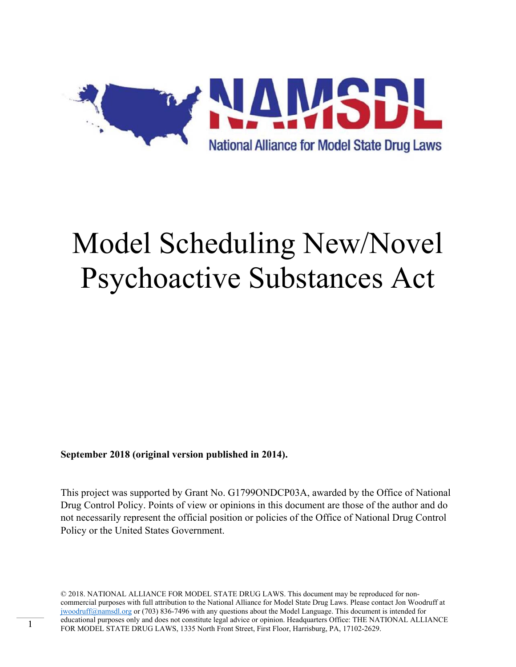

# Model Scheduling New/Novel Psychoactive Substances Act

**September 2018 (original version published in 2014).** 

This project was supported by Grant No. G1799ONDCP03A, awarded by the Office of National Drug Control Policy. Points of view or opinions in this document are those of the author and do not necessarily represent the official position or policies of the Office of National Drug Control Policy or the United States Government.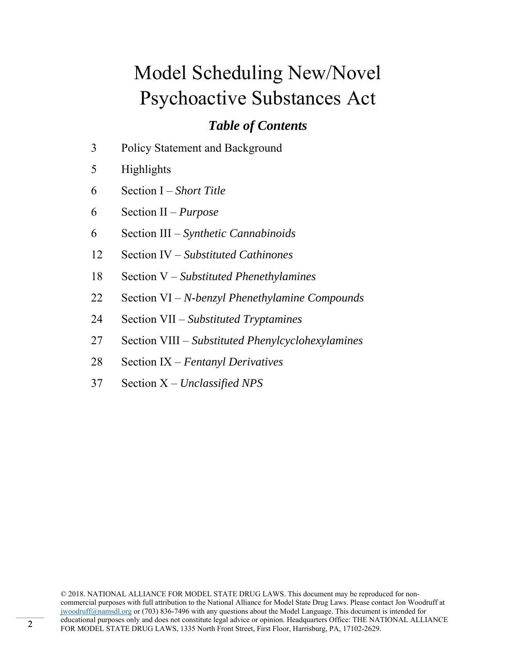# Model Scheduling New/Novel Psychoactive Substances Act

# *Table of Contents*

- 3 Policy Statement and Background
- 5 Highlights
- 6 Section I *Short Title*
- 6 Section II *Purpose*
- 6 Section III *Synthetic Cannabinoids*
- 12 Section IV *Substituted Cathinones*
- 18 Section V *Substituted Phenethylamines*
- 22 Section VI *N-benzyl Phenethylamine Compounds*
- 24 Section VII *Substituted Tryptamines*
- 27 Section VIII *Substituted Phenylcyclohexylamines*
- 28 Section IX *Fentanyl Derivatives*
- 37 Section X *Unclassified NPS*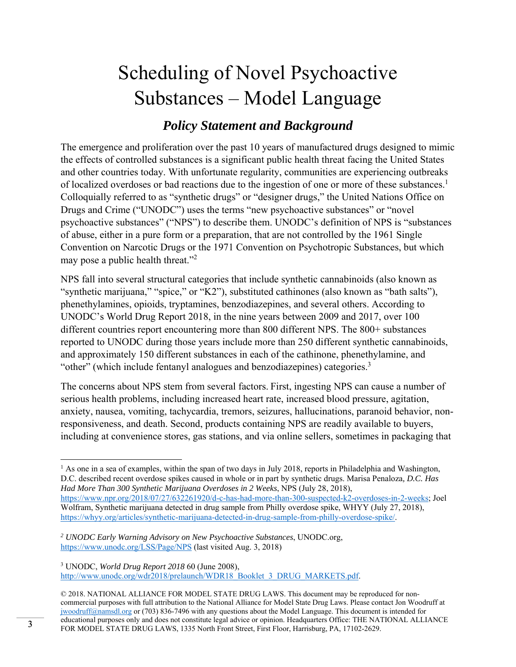# Scheduling of Novel Psychoactive Substances – Model Language

# *Policy Statement and Background*

The emergence and proliferation over the past 10 years of manufactured drugs designed to mimic the effects of controlled substances is a significant public health threat facing the United States and other countries today. With unfortunate regularity, communities are experiencing outbreaks of localized overdoses or bad reactions due to the ingestion of one or more of these substances.<sup>1</sup> Colloquially referred to as "synthetic drugs" or "designer drugs," the United Nations Office on Drugs and Crime ("UNODC") uses the terms "new psychoactive substances" or "novel psychoactive substances" ("NPS") to describe them. UNODC's definition of NPS is "substances of abuse, either in a pure form or a preparation, that are not controlled by the 1961 Single Convention on Narcotic Drugs or the 1971 Convention on Psychotropic Substances, but which may pose a public health threat."<sup>2</sup>

NPS fall into several structural categories that include synthetic cannabinoids (also known as "synthetic marijuana," "spice," or "K2"), substituted cathinones (also known as "bath salts"), phenethylamines, opioids, tryptamines, benzodiazepines, and several others. According to UNODC's World Drug Report 2018, in the nine years between 2009 and 2017, over 100 different countries report encountering more than 800 different NPS. The 800+ substances reported to UNODC during those years include more than 250 different synthetic cannabinoids, and approximately 150 different substances in each of the cathinone, phenethylamine, and "other" (which include fentanyl analogues and benzodiazepines) categories.<sup>3</sup>

The concerns about NPS stem from several factors. First, ingesting NPS can cause a number of serious health problems, including increased heart rate, increased blood pressure, agitation, anxiety, nausea, vomiting, tachycardia, tremors, seizures, hallucinations, paranoid behavior, nonresponsiveness, and death. Second, products containing NPS are readily available to buyers, including at convenience stores, gas stations, and via online sellers, sometimes in packaging that

  $<sup>1</sup>$  As one in a sea of examples, within the span of two days in July 2018, reports in Philadelphia and Washington,</sup> D.C. described recent overdose spikes caused in whole or in part by synthetic drugs. Marisa Penaloza*, D.C. Has Had More Than 300 Synthetic Marijuana Overdoses in 2 Weeks*, NPS (July 28, 2018), https://www.npr.org/2018/07/27/632261920/d-c-has-had-more-than-300-suspected-k2-overdoses-in-2-weeks; Joel Wolfram, Synthetic marijuana detected in drug sample from Philly overdose spike, WHYY (July 27, 2018), https://whyy.org/articles/synthetic-marijuana-detected-in-drug-sample-from-philly-overdose-spike/.

3 UNODC, *World Drug Report 2018* 60 (June 2008), http://www.unodc.org/wdr2018/prelaunch/WDR18\_Booklet\_3\_DRUG\_MARKETS.pdf.

*<sup>2</sup> UNODC Early Warning Advisory on New Psychoactive Substances*, UNODC.org, https://www.unodc.org/LSS/Page/NPS (last visited Aug. 3, 2018)

<sup>© 2018.</sup> NATIONAL ALLIANCE FOR MODEL STATE DRUG LAWS. This document may be reproduced for noncommercial purposes with full attribution to the National Alliance for Model State Drug Laws. Please contact Jon Woodruff at jwoodruff@namsdl.org or (703) 836-7496 with any questions about the Model Language. This document is intended for educational purposes only and does not constitute legal advice or opinion. Headquarters Office: THE NATIONAL ALLIANCE FOR MODEL STATE DRUG LAWS, 1335 North Front Street, First Floor, Harrisburg, PA, 17102-2629.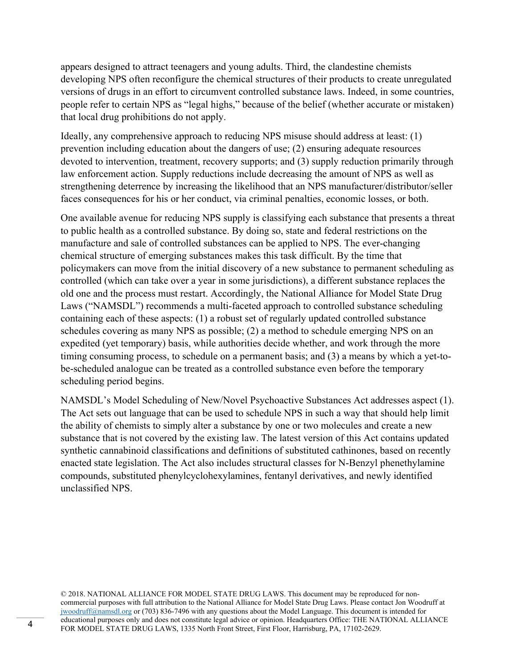appears designed to attract teenagers and young adults. Third, the clandestine chemists developing NPS often reconfigure the chemical structures of their products to create unregulated versions of drugs in an effort to circumvent controlled substance laws. Indeed, in some countries, people refer to certain NPS as "legal highs," because of the belief (whether accurate or mistaken) that local drug prohibitions do not apply.

Ideally, any comprehensive approach to reducing NPS misuse should address at least: (1) prevention including education about the dangers of use; (2) ensuring adequate resources devoted to intervention, treatment, recovery supports; and (3) supply reduction primarily through law enforcement action. Supply reductions include decreasing the amount of NPS as well as strengthening deterrence by increasing the likelihood that an NPS manufacturer/distributor/seller faces consequences for his or her conduct, via criminal penalties, economic losses, or both.

One available avenue for reducing NPS supply is classifying each substance that presents a threat to public health as a controlled substance. By doing so, state and federal restrictions on the manufacture and sale of controlled substances can be applied to NPS. The ever-changing chemical structure of emerging substances makes this task difficult. By the time that policymakers can move from the initial discovery of a new substance to permanent scheduling as controlled (which can take over a year in some jurisdictions), a different substance replaces the old one and the process must restart. Accordingly, the National Alliance for Model State Drug Laws ("NAMSDL") recommends a multi-faceted approach to controlled substance scheduling containing each of these aspects: (1) a robust set of regularly updated controlled substance schedules covering as many NPS as possible; (2) a method to schedule emerging NPS on an expedited (yet temporary) basis, while authorities decide whether, and work through the more timing consuming process, to schedule on a permanent basis; and (3) a means by which a yet-tobe-scheduled analogue can be treated as a controlled substance even before the temporary scheduling period begins.

NAMSDL's Model Scheduling of New/Novel Psychoactive Substances Act addresses aspect (1). The Act sets out language that can be used to schedule NPS in such a way that should help limit the ability of chemists to simply alter a substance by one or two molecules and create a new substance that is not covered by the existing law. The latest version of this Act contains updated synthetic cannabinoid classifications and definitions of substituted cathinones, based on recently enacted state legislation. The Act also includes structural classes for N-Benzyl phenethylamine compounds, substituted phenylcyclohexylamines, fentanyl derivatives, and newly identified unclassified NPS.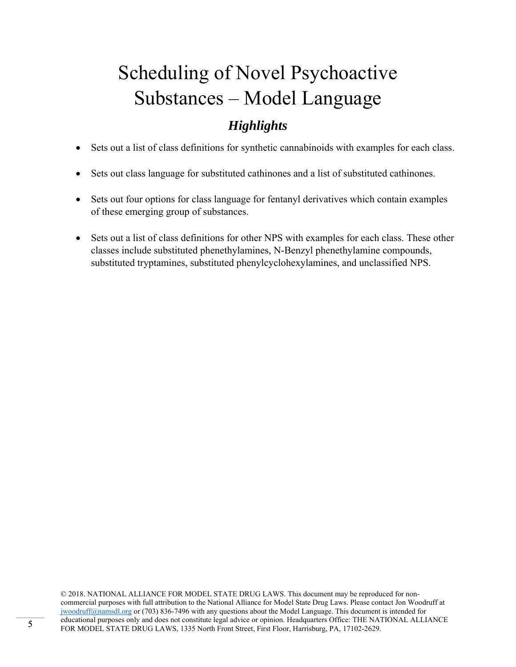# Scheduling of Novel Psychoactive Substances – Model Language

# *Highlights*

- Sets out a list of class definitions for synthetic cannabinoids with examples for each class.
- Sets out class language for substituted cathinones and a list of substituted cathinones.
- Sets out four options for class language for fentanyl derivatives which contain examples of these emerging group of substances.
- Sets out a list of class definitions for other NPS with examples for each class. These other classes include substituted phenethylamines, N-Benzyl phenethylamine compounds, substituted tryptamines, substituted phenylcyclohexylamines, and unclassified NPS.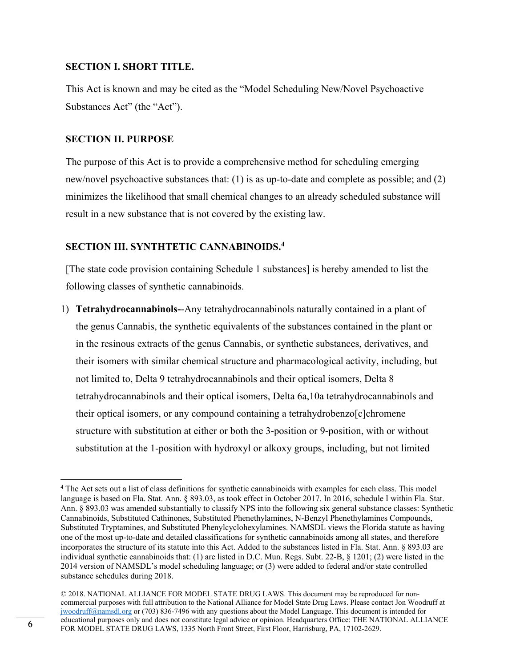#### **SECTION I. SHORT TITLE.**

This Act is known and may be cited as the "Model Scheduling New/Novel Psychoactive Substances Act" (the "Act").

#### **SECTION II. PURPOSE**

The purpose of this Act is to provide a comprehensive method for scheduling emerging new/novel psychoactive substances that: (1) is as up-to-date and complete as possible; and (2) minimizes the likelihood that small chemical changes to an already scheduled substance will result in a new substance that is not covered by the existing law.

### **SECTION III. SYNTHTETIC CANNABINOIDS.4**

[The state code provision containing Schedule 1 substances] is hereby amended to list the following classes of synthetic cannabinoids.

1) **Tetrahydrocannabinols-**-Any tetrahydrocannabinols naturally contained in a plant of the genus Cannabis, the synthetic equivalents of the substances contained in the plant or in the resinous extracts of the genus Cannabis, or synthetic substances, derivatives, and their isomers with similar chemical structure and pharmacological activity, including, but not limited to, Delta 9 tetrahydrocannabinols and their optical isomers, Delta 8 tetrahydrocannabinols and their optical isomers, Delta 6a,10a tetrahydrocannabinols and their optical isomers, or any compound containing a tetrahydrobenzo[c]chromene structure with substitution at either or both the 3-position or 9-position, with or without substitution at the 1-position with hydroxyl or alkoxy groups, including, but not limited

<sup>&</sup>lt;sup>4</sup> The Act sets out a list of class definitions for synthetic cannabinoids with examples for each class. This model language is based on Fla. Stat. Ann. § 893.03, as took effect in October 2017. In 2016, schedule I within Fla. Stat. Ann. § 893.03 was amended substantially to classify NPS into the following six general substance classes: Synthetic Cannabinoids, Substituted Cathinones, Substituted Phenethylamines, N-Benzyl Phenethylamines Compounds, Substituted Tryptamines, and Substituted Phenylcyclohexylamines. NAMSDL views the Florida statute as having one of the most up-to-date and detailed classifications for synthetic cannabinoids among all states, and therefore incorporates the structure of its statute into this Act. Added to the substances listed in Fla. Stat. Ann. § 893.03 are individual synthetic cannabinoids that: (1) are listed in D.C. Mun. Regs. Subt. 22-B, § 1201; (2) were listed in the 2014 version of NAMSDL's model scheduling language; or (3) were added to federal and/or state controlled substance schedules during 2018.

<sup>© 2018.</sup> NATIONAL ALLIANCE FOR MODEL STATE DRUG LAWS. This document may be reproduced for noncommercial purposes with full attribution to the National Alliance for Model State Drug Laws. Please contact Jon Woodruff at jwoodruff@namsdl.org or (703) 836-7496 with any questions about the Model Language. This document is intended for educational purposes only and does not constitute legal advice or opinion. Headquarters Office: THE NATIONAL ALLIANCE FOR MODEL STATE DRUG LAWS, 1335 North Front Street, First Floor, Harrisburg, PA, 17102-2629.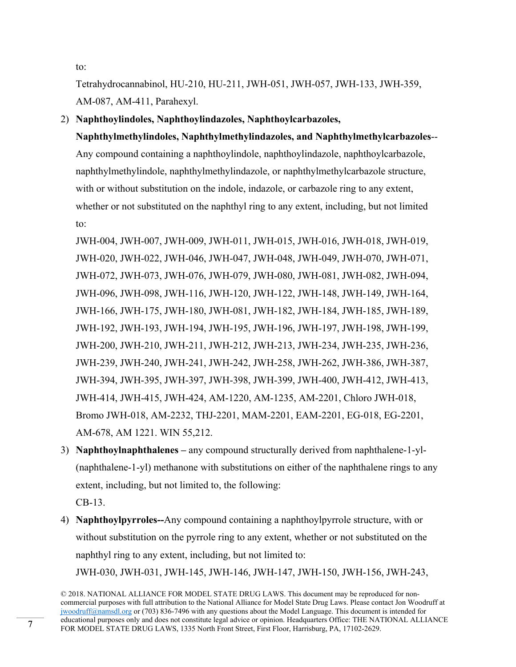to:

Tetrahydrocannabinol, HU-210, HU-211, JWH-051, JWH-057, JWH-133, JWH-359, AM-087, AM-411, Parahexyl.

2) **Naphthoylindoles, Naphthoylindazoles, Naphthoylcarbazoles,** 

**Naphthylmethylindoles, Naphthylmethylindazoles, and Naphthylmethylcarbazoles**-- Any compound containing a naphthoylindole, naphthoylindazole, naphthoylcarbazole, naphthylmethylindole, naphthylmethylindazole, or naphthylmethylcarbazole structure, with or without substitution on the indole, indazole, or carbazole ring to any extent, whether or not substituted on the naphthyl ring to any extent, including, but not limited to:

JWH-004, JWH-007, JWH-009, JWH-011, JWH-015, JWH-016, JWH-018, JWH-019, JWH-020, JWH-022, JWH-046, JWH-047, JWH-048, JWH-049, JWH-070, JWH-071, JWH-072, JWH-073, JWH-076, JWH-079, JWH-080, JWH-081, JWH-082, JWH-094, JWH-096, JWH-098, JWH-116, JWH-120, JWH-122, JWH-148, JWH-149, JWH-164, JWH-166, JWH-175, JWH-180, JWH-081, JWH-182, JWH-184, JWH-185, JWH-189, JWH-192, JWH-193, JWH-194, JWH-195, JWH-196, JWH-197, JWH-198, JWH-199, JWH-200, JWH-210, JWH-211, JWH-212, JWH-213, JWH-234, JWH-235, JWH-236, JWH-239, JWH-240, JWH-241, JWH-242, JWH-258, JWH-262, JWH-386, JWH-387, JWH-394, JWH-395, JWH-397, JWH-398, JWH-399, JWH-400, JWH-412, JWH-413, JWH-414, JWH-415, JWH-424, AM-1220, AM-1235, AM-2201, Chloro JWH-018, Bromo JWH-018, AM-2232, THJ-2201, MAM-2201, EAM-2201, EG-018, EG-2201, AM-678, AM 1221. WIN 55,212.

3) **Naphthoylnaphthalenes –** any compound structurally derived from naphthalene-1-yl- (naphthalene-1-yl) methanone with substitutions on either of the naphthalene rings to any extent, including, but not limited to, the following:

CB-13.

4) **Naphthoylpyrroles--**Any compound containing a naphthoylpyrrole structure, with or without substitution on the pyrrole ring to any extent, whether or not substituted on the naphthyl ring to any extent, including, but not limited to: JWH-030, JWH-031, JWH-145, JWH-146, JWH-147, JWH-150, JWH-156, JWH-243,

<sup>© 2018.</sup> NATIONAL ALLIANCE FOR MODEL STATE DRUG LAWS. This document may be reproduced for noncommercial purposes with full attribution to the National Alliance for Model State Drug Laws. Please contact Jon Woodruff at jwoodruff@namsdl.org or (703) 836-7496 with any questions about the Model Language. This document is intended for educational purposes only and does not constitute legal advice or opinion. Headquarters Office: THE NATIONAL ALLIANCE FOR MODEL STATE DRUG LAWS, 1335 North Front Street, First Floor, Harrisburg, PA, 17102-2629.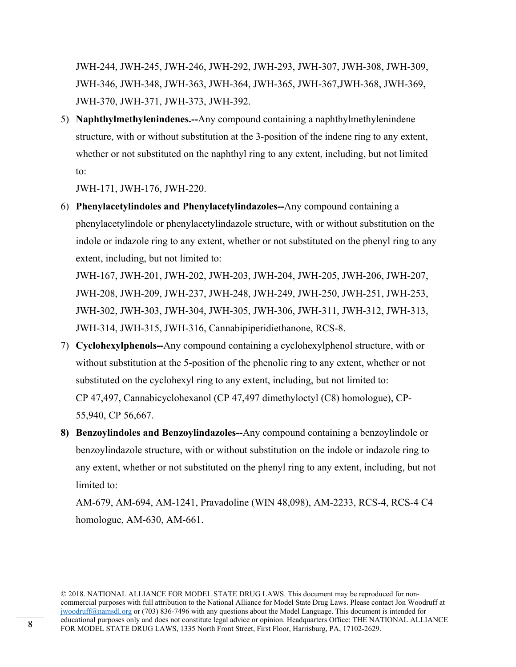JWH-244, JWH-245, JWH-246, JWH-292, JWH-293, JWH-307, JWH-308, JWH-309, JWH-346, JWH-348, JWH-363, JWH-364, JWH-365, JWH-367,JWH-368, JWH-369, JWH-370, JWH-371, JWH-373, JWH-392.

5) **Naphthylmethylenindenes.--**Any compound containing a naphthylmethylenindene structure, with or without substitution at the 3-position of the indene ring to any extent, whether or not substituted on the naphthyl ring to any extent, including, but not limited to:

JWH-171, JWH-176, JWH-220.

6) **Phenylacetylindoles and Phenylacetylindazoles--**Any compound containing a phenylacetylindole or phenylacetylindazole structure, with or without substitution on the indole or indazole ring to any extent, whether or not substituted on the phenyl ring to any extent, including, but not limited to:

JWH-167, JWH-201, JWH-202, JWH-203, JWH-204, JWH-205, JWH-206, JWH-207, JWH-208, JWH-209, JWH-237, JWH-248, JWH-249, JWH-250, JWH-251, JWH-253, JWH-302, JWH-303, JWH-304, JWH-305, JWH-306, JWH-311, JWH-312, JWH-313, JWH-314, JWH-315, JWH-316, Cannabipiperidiethanone, RCS-8.

- 7) **Cyclohexylphenols--**Any compound containing a cyclohexylphenol structure, with or without substitution at the 5-position of the phenolic ring to any extent, whether or not substituted on the cyclohexyl ring to any extent, including, but not limited to: CP 47,497, Cannabicyclohexanol (CP 47,497 dimethyloctyl (C8) homologue), CP-55,940, CP 56,667.
- **8) Benzoylindoles and Benzoylindazoles--**Any compound containing a benzoylindole or benzoylindazole structure, with or without substitution on the indole or indazole ring to any extent, whether or not substituted on the phenyl ring to any extent, including, but not limited to:

AM-679, AM-694, AM-1241, Pravadoline (WIN 48,098), AM-2233, RCS-4, RCS-4 C4 homologue, AM-630, AM-661.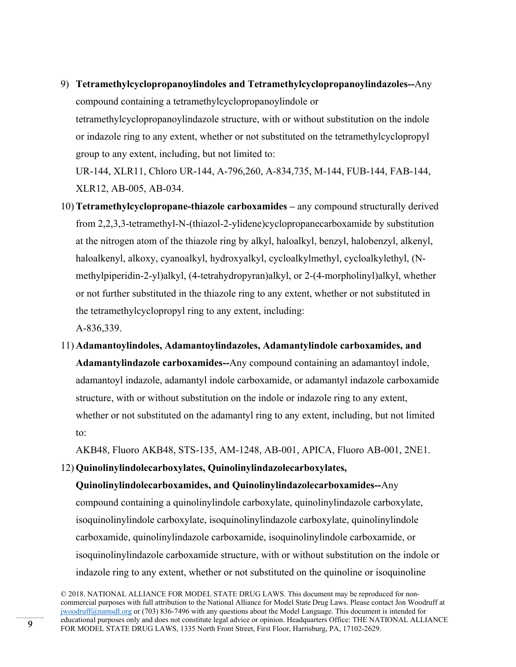- 9) **Tetramethylcyclopropanoylindoles and Tetramethylcyclopropanoylindazoles--**Any compound containing a tetramethylcyclopropanoylindole or tetramethylcyclopropanoylindazole structure, with or without substitution on the indole or indazole ring to any extent, whether or not substituted on the tetramethylcyclopropyl group to any extent, including, but not limited to: UR-144, XLR11, Chloro UR-144, A-796,260, A-834,735, M-144, FUB-144, FAB-144, XLR12, AB-005, AB-034.
- 10) **Tetramethylcyclopropane-thiazole carboxamides** any compound structurally derived from 2,2,3,3-tetramethyl-N-(thiazol-2-ylidene)cyclopropanecarboxamide by substitution at the nitrogen atom of the thiazole ring by alkyl, haloalkyl, benzyl, halobenzyl, alkenyl, haloalkenyl, alkoxy, cyanoalkyl, hydroxyalkyl, cycloalkylmethyl, cycloalkylethyl, (Nmethylpiperidin-2-yl)alkyl, (4-tetrahydropyran)alkyl, or 2-(4-morpholinyl)alkyl, whether or not further substituted in the thiazole ring to any extent, whether or not substituted in the tetramethylcyclopropyl ring to any extent, including:

A-836,339.

11) **Adamantoylindoles, Adamantoylindazoles, Adamantylindole carboxamides, and Adamantylindazole carboxamides--**Any compound containing an adamantoyl indole, adamantoyl indazole, adamantyl indole carboxamide, or adamantyl indazole carboxamide structure, with or without substitution on the indole or indazole ring to any extent, whether or not substituted on the adamantyl ring to any extent, including, but not limited to:

AKB48, Fluoro AKB48, STS-135, AM-1248, AB-001, APICA, Fluoro AB-001, 2NE1.

### 12) **Quinolinylindolecarboxylates, Quinolinylindazolecarboxylates,**

**Quinolinylindolecarboxamides, and Quinolinylindazolecarboxamides--**Any compound containing a quinolinylindole carboxylate, quinolinylindazole carboxylate, isoquinolinylindole carboxylate, isoquinolinylindazole carboxylate, quinolinylindole carboxamide, quinolinylindazole carboxamide, isoquinolinylindole carboxamide, or isoquinolinylindazole carboxamide structure, with or without substitution on the indole or indazole ring to any extent, whether or not substituted on the quinoline or isoquinoline

<sup>© 2018.</sup> NATIONAL ALLIANCE FOR MODEL STATE DRUG LAWS. This document may be reproduced for noncommercial purposes with full attribution to the National Alliance for Model State Drug Laws. Please contact Jon Woodruff at jwoodruff@namsdl.org or (703) 836-7496 with any questions about the Model Language. This document is intended for educational purposes only and does not constitute legal advice or opinion. Headquarters Office: THE NATIONAL ALLIANCE FOR MODEL STATE DRUG LAWS, 1335 North Front Street, First Floor, Harrisburg, PA, 17102-2629.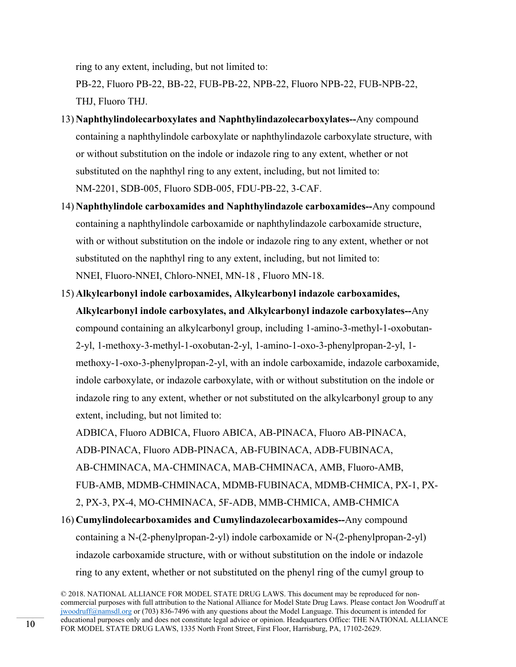ring to any extent, including, but not limited to:

PB-22, Fluoro PB-22, BB-22, FUB-PB-22, NPB-22, Fluoro NPB-22, FUB-NPB-22, THJ, Fluoro THJ.

- 13) **Naphthylindolecarboxylates and Naphthylindazolecarboxylates--**Any compound containing a naphthylindole carboxylate or naphthylindazole carboxylate structure, with or without substitution on the indole or indazole ring to any extent, whether or not substituted on the naphthyl ring to any extent, including, but not limited to: NM-2201, SDB-005, Fluoro SDB-005, FDU-PB-22, 3-CAF.
- 14) **Naphthylindole carboxamides and Naphthylindazole carboxamides--**Any compound containing a naphthylindole carboxamide or naphthylindazole carboxamide structure, with or without substitution on the indole or indazole ring to any extent, whether or not substituted on the naphthyl ring to any extent, including, but not limited to: NNEI, Fluoro-NNEI, Chloro-NNEI, MN-18 , Fluoro MN-18.
- 15) **Alkylcarbonyl indole carboxamides, Alkylcarbonyl indazole carboxamides, Alkylcarbonyl indole carboxylates, and Alkylcarbonyl indazole carboxylates--**Any compound containing an alkylcarbonyl group, including 1-amino-3-methyl-1-oxobutan-2-yl, 1-methoxy-3-methyl-1-oxobutan-2-yl, 1-amino-1-oxo-3-phenylpropan-2-yl, 1 methoxy-1-oxo-3-phenylpropan-2-yl, with an indole carboxamide, indazole carboxamide, indole carboxylate, or indazole carboxylate, with or without substitution on the indole or indazole ring to any extent, whether or not substituted on the alkylcarbonyl group to any extent, including, but not limited to:

ADBICA, Fluoro ADBICA, Fluoro ABICA, AB-PINACA, Fluoro AB-PINACA, ADB-PINACA, Fluoro ADB-PINACA, AB-FUBINACA, ADB-FUBINACA, AB-CHMINACA, MA-CHMINACA, MAB-CHMINACA, AMB, Fluoro-AMB, FUB-AMB, MDMB-CHMINACA, MDMB-FUBINACA, MDMB-CHMICA, PX-1, PX-2, PX-3, PX-4, MO-CHMINACA, 5F-ADB, MMB-CHMICA, AMB-CHMICA 16) **Cumylindolecarboxamides and Cumylindazolecarboxamides--**Any compound containing a N-(2-phenylpropan-2-yl) indole carboxamide or N-(2-phenylpropan-2-yl) indazole carboxamide structure, with or without substitution on the indole or indazole ring to any extent, whether or not substituted on the phenyl ring of the cumyl group to

<sup>© 2018.</sup> NATIONAL ALLIANCE FOR MODEL STATE DRUG LAWS. This document may be reproduced for noncommercial purposes with full attribution to the National Alliance for Model State Drug Laws. Please contact Jon Woodruff at jwoodruff@namsdl.org or (703) 836-7496 with any questions about the Model Language. This document is intended for educational purposes only and does not constitute legal advice or opinion. Headquarters Office: THE NATIONAL ALLIANCE FOR MODEL STATE DRUG LAWS, 1335 North Front Street, First Floor, Harrisburg, PA, 17102-2629.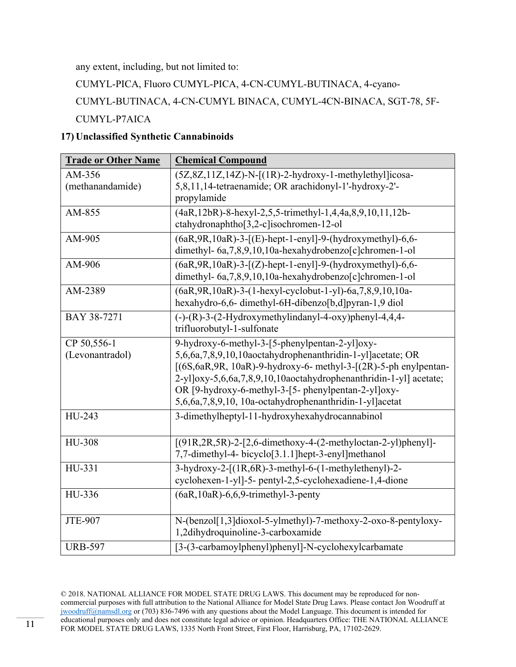any extent, including, but not limited to:

CUMYL-PICA, Fluoro CUMYL-PICA, 4-CN-CUMYL-BUTINACA, 4-cyano-

CUMYL-BUTINACA, 4-CN-CUMYL BINACA, CUMYL-4CN-BINACA, SGT-78, 5F-CUMYL-P7AICA

# **17) Unclassified Synthetic Cannabinoids**

| <b>Trade or Other Name</b>     | <b>Chemical Compound</b>                                                                                                                                                                                                                                                                                                                                                        |
|--------------------------------|---------------------------------------------------------------------------------------------------------------------------------------------------------------------------------------------------------------------------------------------------------------------------------------------------------------------------------------------------------------------------------|
| AM-356<br>(methanandamide)     | $(5Z, 8Z, 11Z, 14Z)$ -N- $[(1R)$ -2-hydroxy-1-methylethyl]icosa-<br>5,8,11,14-tetraenamide; OR arachidonyl-1'-hydroxy-2'-<br>propylamide                                                                                                                                                                                                                                        |
| AM-855                         | (4aR, 12bR)-8-hexyl-2,5,5-trimethyl-1,4,4a,8,9,10,11,12b-<br>ctahydronaphtho[3,2-c]isochromen-12-ol                                                                                                                                                                                                                                                                             |
| AM-905                         | (6aR, 9R, 10aR)-3-[(E)-hept-1-enyl]-9-(hydroxymethyl)-6,6-<br>dimethyl- 6a, 7, 8, 9, 10, 10a-hexahydrobenzo [c] chromen-1-ol                                                                                                                                                                                                                                                    |
| AM-906                         | (6aR, 9R, 10aR)-3-[(Z)-hept-1-enyl]-9-(hydroxymethyl)-6,6-<br>dimethyl- 6a, 7, 8, 9, 10, 10a-hexahydrobenzo [c] chromen-1-ol                                                                                                                                                                                                                                                    |
| AM-2389                        | (6aR, 9R, 10aR) - 3-(1-hexyl-cyclobut-1-yl) - 6a, 7, 8, 9, 10, 10a-<br>hexahydro-6,6- dimethyl-6H-dibenzo[b,d]pyran-1,9 diol                                                                                                                                                                                                                                                    |
| BAY 38-7271                    | $(-)$ - $(R)$ -3- $(2-Hydroxymethylindanyl-4-oxy)phenyl-4,4,4-$<br>trifluorobutyl-1-sulfonate                                                                                                                                                                                                                                                                                   |
| CP 50,556-1<br>(Levonantradol) | 9-hydroxy-6-methyl-3-[5-phenylpentan-2-yl]oxy-<br>5,6,6a,7,8,9,10,10aoctahydrophenanthridin-1-yl]acetate; OR<br>$[(6S, 6aR, 9R, 10aR)$ -9-hydroxy-6- methyl-3- $[(2R)$ -5-ph enylpentan-<br>2-yl]oxy-5,6,6a,7,8,9,10,10aoctahydrophenanthridin-1-yl] acetate;<br>OR [9-hydroxy-6-methyl-3-[5- phenylpentan-2-yl]oxy-<br>5,6,6a,7,8,9,10, 10a-octahydrophenanthridin-1-yl]acetat |
| HU-243                         | 3-dimethylheptyl-11-hydroxyhexahydrocannabinol                                                                                                                                                                                                                                                                                                                                  |
| HU-308                         | $[(91R, 2R, 5R) - 2 - [2, 6 - dimethoxy-4 - (2 - methyloctan - 2 - y])phenyl]$<br>7,7-dimethyl-4- bicyclo[3.1.1]hept-3-enyl]methanol                                                                                                                                                                                                                                            |
| HU-331                         | 3-hydroxy-2-[(1R,6R)-3-methyl-6-(1-methylethenyl)-2-<br>cyclohexen-1-yl]-5- pentyl-2,5-cyclohexadiene-1,4-dione                                                                                                                                                                                                                                                                 |
| HU-336                         | $(6aR, 10aR) - 6, 6, 9$ -trimethyl-3-penty                                                                                                                                                                                                                                                                                                                                      |
| <b>JTE-907</b>                 | N-(benzol[1,3]dioxol-5-ylmethyl)-7-methoxy-2-oxo-8-pentyloxy-<br>1,2dihydroquinoline-3-carboxamide                                                                                                                                                                                                                                                                              |
| <b>URB-597</b>                 | [3-(3-carbamoylphenyl)phenyl]-N-cyclohexylcarbamate                                                                                                                                                                                                                                                                                                                             |

<sup>© 2018.</sup> NATIONAL ALLIANCE FOR MODEL STATE DRUG LAWS. This document may be reproduced for noncommercial purposes with full attribution to the National Alliance for Model State Drug Laws. Please contact Jon Woodruff at jwoodruff@namsdl.org or (703) 836-7496 with any questions about the Model Language. This document is intended for educational purposes only and does not constitute legal advice or opinion. Headquarters Office: THE NATIONAL ALLIANCE FOR MODEL STATE DRUG LAWS, 1335 North Front Street, First Floor, Harrisburg, PA, 17102-2629.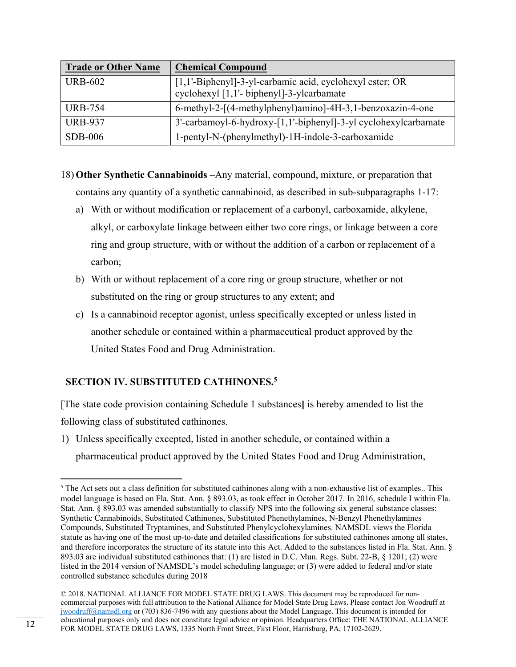| <b>Trade or Other Name</b> | <b>Chemical Compound</b>                                                                              |
|----------------------------|-------------------------------------------------------------------------------------------------------|
| <b>URB-602</b>             | [1,1'-Biphenyl]-3-yl-carbamic acid, cyclohexyl ester; OR<br>cyclohexyl [1,1'- biphenyl]-3-ylcarbamate |
| <b>URB-754</b>             | 6-methyl-2-[(4-methylphenyl)amino]-4H-3,1-benzoxazin-4-one                                            |
| <b>URB-937</b>             | 3'-carbamoyl-6-hydroxy-[1,1'-biphenyl]-3-yl cyclohexylcarbamate                                       |
| $SDB-006$                  | 1-pentyl-N-(phenylmethyl)-1H-indole-3-carboxamide                                                     |

- 18) **Other Synthetic Cannabinoids** –Any material, compound, mixture, or preparation that contains any quantity of a synthetic cannabinoid, as described in sub-subparagraphs 1-17:
	- a) With or without modification or replacement of a carbonyl, carboxamide, alkylene, alkyl, or carboxylate linkage between either two core rings, or linkage between a core ring and group structure, with or without the addition of a carbon or replacement of a carbon;
	- b) With or without replacement of a core ring or group structure, whether or not substituted on the ring or group structures to any extent; and
	- c) Is a cannabinoid receptor agonist, unless specifically excepted or unless listed in another schedule or contained within a pharmaceutical product approved by the United States Food and Drug Administration.

# **SECTION IV. SUBSTITUTED CATHINONES.5**

[The state code provision containing Schedule 1 substances**]** is hereby amended to list the following class of substituted cathinones.

1) Unless specifically excepted, listed in another schedule, or contained within a pharmaceutical product approved by the United States Food and Drug Administration,

<sup>&</sup>lt;sup>5</sup> The Act sets out a class definition for substituted cathinones along with a non-exhaustive list of examples.. This model language is based on Fla. Stat. Ann. § 893.03, as took effect in October 2017. In 2016, schedule I within Fla. Stat. Ann. § 893.03 was amended substantially to classify NPS into the following six general substance classes: Synthetic Cannabinoids, Substituted Cathinones, Substituted Phenethylamines, N-Benzyl Phenethylamines Compounds, Substituted Tryptamines, and Substituted Phenylcyclohexylamines. NAMSDL views the Florida statute as having one of the most up-to-date and detailed classifications for substituted cathinones among all states, and therefore incorporates the structure of its statute into this Act. Added to the substances listed in Fla. Stat. Ann. § 893.03 are individual substituted cathinones that: (1) are listed in D.C. Mun. Regs. Subt. 22-B, § 1201; (2) were listed in the 2014 version of NAMSDL's model scheduling language; or (3) were added to federal and/or state controlled substance schedules during 2018

<sup>© 2018.</sup> NATIONAL ALLIANCE FOR MODEL STATE DRUG LAWS. This document may be reproduced for noncommercial purposes with full attribution to the National Alliance for Model State Drug Laws. Please contact Jon Woodruff at jwoodruff@namsdl.org or (703) 836-7496 with any questions about the Model Language. This document is intended for educational purposes only and does not constitute legal advice or opinion. Headquarters Office: THE NATIONAL ALLIANCE FOR MODEL STATE DRUG LAWS, 1335 North Front Street, First Floor, Harrisburg, PA, 17102-2629.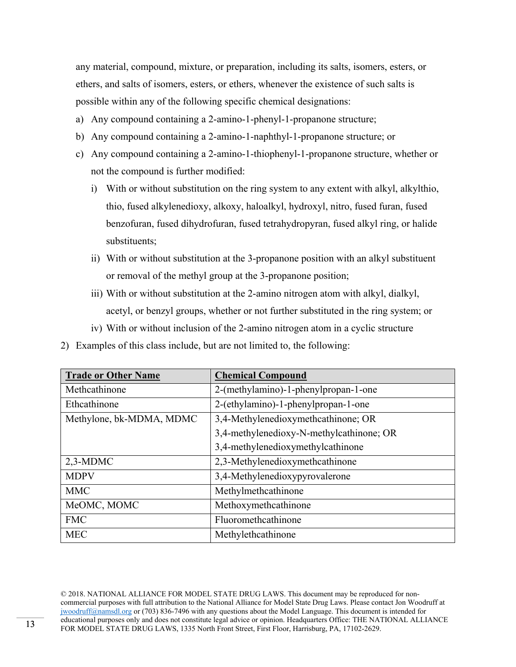any material, compound, mixture, or preparation, including its salts, isomers, esters, or ethers, and salts of isomers, esters, or ethers, whenever the existence of such salts is possible within any of the following specific chemical designations:

- a) Any compound containing a 2-amino-1-phenyl-1-propanone structure;
- b) Any compound containing a 2-amino-1-naphthyl-1-propanone structure; or
- c) Any compound containing a 2-amino-1-thiophenyl-1-propanone structure, whether or not the compound is further modified:
	- i) With or without substitution on the ring system to any extent with alkyl, alkylthio, thio, fused alkylenedioxy, alkoxy, haloalkyl, hydroxyl, nitro, fused furan, fused benzofuran, fused dihydrofuran, fused tetrahydropyran, fused alkyl ring, or halide substituents;
	- ii) With or without substitution at the 3-propanone position with an alkyl substituent or removal of the methyl group at the 3-propanone position;
	- iii) With or without substitution at the 2-amino nitrogen atom with alkyl, dialkyl, acetyl, or benzyl groups, whether or not further substituted in the ring system; or
	- iv) With or without inclusion of the 2-amino nitrogen atom in a cyclic structure
- 2) Examples of this class include, but are not limited to, the following:

| <b>Trade or Other Name</b> | <b>Chemical Compound</b>                 |
|----------------------------|------------------------------------------|
| Methcathinone              | 2-(methylamino)-1-phenylpropan-1-one     |
| Ethcathinone               | 2-(ethylamino)-1-phenylpropan-1-one      |
| Methylone, bk-MDMA, MDMC   | 3,4-Methylenedioxymethcathinone; OR      |
|                            | 3,4-methylenedioxy-N-methylcathinone; OR |
|                            | 3,4-methylenedioxymethylcathinone        |
| $2,3-MDMC$                 | 2,3-Methylenedioxymethcathinone          |
| <b>MDPV</b>                | 3,4-Methylenedioxypyrovalerone           |
| <b>MMC</b>                 | Methylmethcathinone                      |
| MeOMC, MOMC                | Methoxymethcathinone                     |
| <b>FMC</b>                 | Fluoromethcathinone                      |
| <b>MEC</b>                 | Methylethcathinone                       |

<sup>© 2018.</sup> NATIONAL ALLIANCE FOR MODEL STATE DRUG LAWS. This document may be reproduced for noncommercial purposes with full attribution to the National Alliance for Model State Drug Laws. Please contact Jon Woodruff at jwoodruff@namsdl.org or (703) 836-7496 with any questions about the Model Language. This document is intended for educational purposes only and does not constitute legal advice or opinion. Headquarters Office: THE NATIONAL ALLIANCE FOR MODEL STATE DRUG LAWS, 1335 North Front Street, First Floor, Harrisburg, PA, 17102-2629.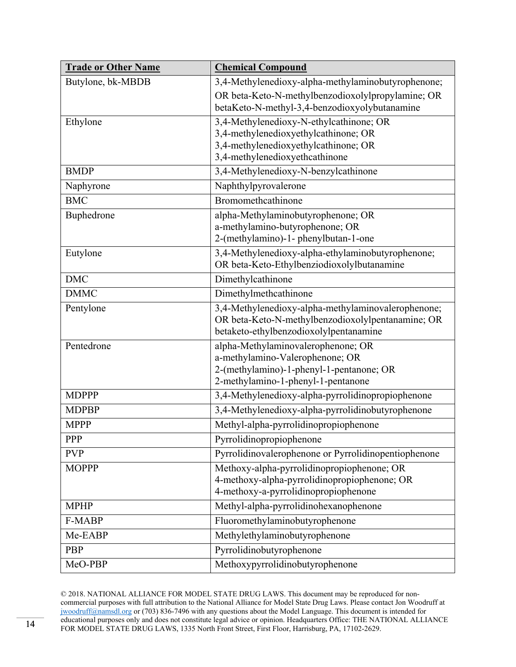| <b>Trade or Other Name</b> | <b>Chemical Compound</b>                                                       |
|----------------------------|--------------------------------------------------------------------------------|
| Butylone, bk-MBDB          | 3,4-Methylenedioxy-alpha-methylaminobutyrophenone;                             |
|                            | OR beta-Keto-N-methylbenzodioxolylpropylamine; OR                              |
|                            | betaKeto-N-methyl-3,4-benzodioxyolybutanamine                                  |
| Ethylone                   | 3,4-Methylenedioxy-N-ethylcathinone; OR                                        |
|                            | 3,4-methylenedioxyethylcathinone; OR                                           |
|                            | 3,4-methylenedioxyethylcathinone; OR                                           |
|                            | 3,4-methylenedioxyethcathinone                                                 |
| <b>BMDP</b>                | 3,4-Methylenedioxy-N-benzylcathinone                                           |
| Naphyrone                  | Naphthylpyrovalerone                                                           |
| <b>BMC</b>                 | Bromomethcathinone                                                             |
| Buphedrone                 | alpha-Methylaminobutyrophenone; OR                                             |
|                            | a-methylamino-butyrophenone; OR                                                |
|                            | 2-(methylamino)-1- phenylbutan-1-one                                           |
| Eutylone                   | 3,4-Methylenedioxy-alpha-ethylaminobutyrophenone;                              |
|                            | OR beta-Keto-Ethylbenziodioxolylbutanamine                                     |
| <b>DMC</b>                 | Dimethylcathinone                                                              |
| <b>DMMC</b>                | Dimethylmethcathinone                                                          |
| Pentylone                  | 3,4-Methylenedioxy-alpha-methylaminovalerophenone;                             |
|                            | OR beta-Keto-N-methylbenzodioxolylpentanamine; OR                              |
|                            | betaketo-ethylbenzodioxolylpentanamine                                         |
| Pentedrone                 | alpha-Methylaminovalerophenone; OR                                             |
|                            | a-methylamino-Valerophenone; OR                                                |
|                            | 2-(methylamino)-1-phenyl-1-pentanone; OR<br>2-methylamino-1-phenyl-1-pentanone |
| <b>MDPPP</b>               | 3,4-Methylenedioxy-alpha-pyrrolidinopropiophenone                              |
| <b>MDPBP</b>               |                                                                                |
|                            | 3,4-Methylenedioxy-alpha-pyrrolidinobutyrophenone                              |
| <b>MPPP</b>                | Methyl-alpha-pyrrolidinopropiophenone                                          |
| PPP                        | Pyrrolidinopropiophenone                                                       |
| <b>PVP</b>                 | Pyrrolidinovalerophenone or Pyrrolidinopentiophenone                           |
| <b>MOPPP</b>               | Methoxy-alpha-pyrrolidinopropiophenone; OR                                     |
|                            | 4-methoxy-alpha-pyrrolidinopropiophenone; OR                                   |
|                            | 4-methoxy-a-pyrrolidinopropiophenone                                           |
| <b>MPHP</b>                | Methyl-alpha-pyrrolidinohexanophenone                                          |
| F-MABP                     | Fluoromethylaminobutyrophenone                                                 |
| Me-EABP                    | Methylethylaminobutyrophenone                                                  |
| PBP                        | Pyrrolidinobutyrophenone                                                       |
| MeO-PBP                    | Methoxypyrrolidinobutyrophenone                                                |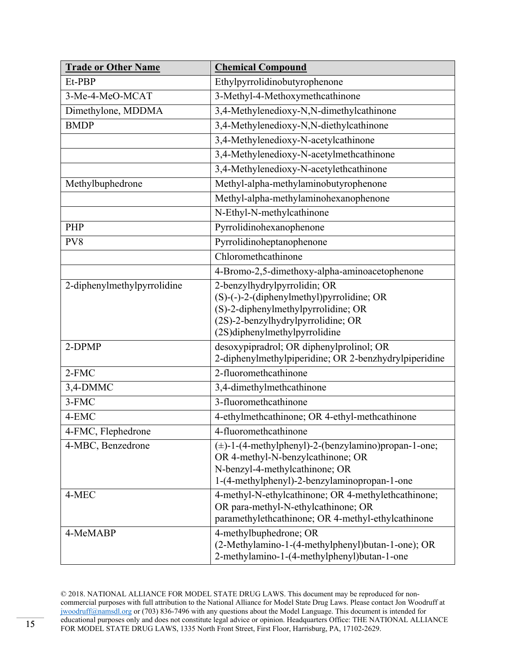| <b>Trade or Other Name</b>  | <b>Chemical Compound</b>                                                                                                                                                                |
|-----------------------------|-----------------------------------------------------------------------------------------------------------------------------------------------------------------------------------------|
| Et-PBP                      | Ethylpyrrolidinobutyrophenone                                                                                                                                                           |
| 3-Me-4-MeO-MCAT             | 3-Methyl-4-Methoxymethcathinone                                                                                                                                                         |
| Dimethylone, MDDMA          | 3,4-Methylenedioxy-N,N-dimethylcathinone                                                                                                                                                |
| <b>BMDP</b>                 | 3,4-Methylenedioxy-N,N-diethylcathinone                                                                                                                                                 |
|                             | 3,4-Methylenedioxy-N-acetylcathinone                                                                                                                                                    |
|                             | 3,4-Methylenedioxy-N-acetylmethcathinone                                                                                                                                                |
|                             | 3,4-Methylenedioxy-N-acetylethcathinone                                                                                                                                                 |
| Methylbuphedrone            | Methyl-alpha-methylaminobutyrophenone                                                                                                                                                   |
|                             | Methyl-alpha-methylaminohexanophenone                                                                                                                                                   |
|                             | N-Ethyl-N-methylcathinone                                                                                                                                                               |
| PHP                         | Pyrrolidinohexanophenone                                                                                                                                                                |
| PV8                         | Pyrrolidinoheptanophenone                                                                                                                                                               |
|                             | Chloromethcathinone                                                                                                                                                                     |
|                             | 4-Bromo-2,5-dimethoxy-alpha-aminoacetophenone                                                                                                                                           |
| 2-diphenylmethylpyrrolidine | 2-benzylhydrylpyrrolidin; OR<br>(S)-(-)-2-(diphenylmethyl)pyrrolidine; OR<br>(S)-2-diphenylmethylpyrrolidine; OR<br>(2S)-2-benzylhydrylpyrrolidine; OR<br>(2S)diphenylmethylpyrrolidine |
| 2-DPMP                      | desoxypipradrol; OR diphenylprolinol; OR<br>2-diphenylmethylpiperidine; OR 2-benzhydrylpiperidine                                                                                       |
| 2-FMC                       | 2-fluoromethcathinone                                                                                                                                                                   |
| 3,4-DMMC                    | 3,4-dimethylmethcathinone                                                                                                                                                               |
| 3-FMC                       | 3-fluoromethcathinone                                                                                                                                                                   |
| 4-EMC                       | 4-ethylmethcathinone; OR 4-ethyl-methcathinone                                                                                                                                          |
| 4-FMC, Flephedrone          | 4-fluoromethcathinone                                                                                                                                                                   |
| 4-MBC, Benzedrone           | $(\pm)$ -1-(4-methylphenyl)-2-(benzylamino)propan-1-one;<br>OR 4-methyl-N-benzylcathinone; OR<br>N-benzyl-4-methylcathinone; OR<br>1-(4-methylphenyl)-2-benzylaminopropan-1-one         |
| 4-MEC                       | 4-methyl-N-ethylcathinone; OR 4-methylethcathinone;<br>OR para-methyl-N-ethylcathinone; OR<br>paramethylethcathinone; OR 4-methyl-ethylcathinone                                        |
| 4-MeMABP                    | 4-methylbuphedrone; OR<br>(2-Methylamino-1-(4-methylphenyl)butan-1-one); OR<br>2-methylamino-1-(4-methylphenyl)butan-1-one                                                              |

<sup>© 2018.</sup> NATIONAL ALLIANCE FOR MODEL STATE DRUG LAWS. This document may be reproduced for noncommercial purposes with full attribution to the National Alliance for Model State Drug Laws. Please contact Jon Woodruff at  $j$ woodruff $@n$ amsdl.org or (703) 836-7496 with any questions about the Model Language. This document is intended for educational purposes only and does not constitute legal advice or opinion. Headquarters Office: THE NATIONAL ALLIANCE FOR MODEL STATE DRUG LAWS, 1335 North Front Street, First Floor, Harrisburg, PA, 17102-2629.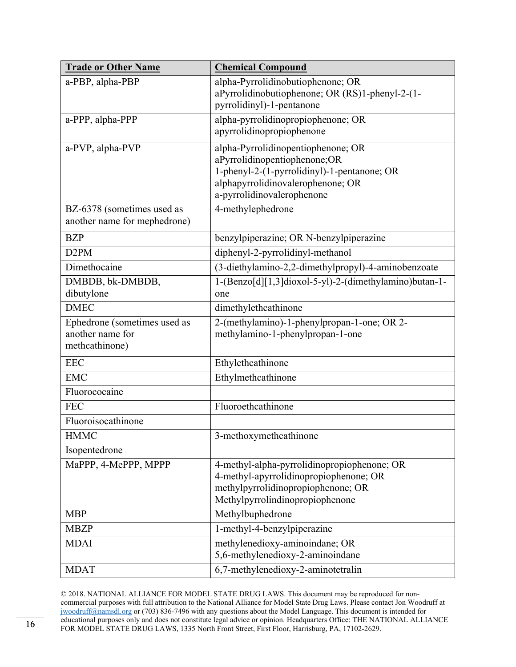| <b>Trade or Other Name</b>                                         | <b>Chemical Compound</b>                                                                                                                                                             |
|--------------------------------------------------------------------|--------------------------------------------------------------------------------------------------------------------------------------------------------------------------------------|
| a-PBP, alpha-PBP                                                   | alpha-Pyrrolidinobutiophenone; OR<br>aPyrrolidinobutiophenone; OR (RS)1-phenyl-2-(1-<br>pyrrolidinyl)-1-pentanone                                                                    |
| a-PPP, alpha-PPP                                                   | alpha-pyrrolidinopropiophenone; OR<br>apyrrolidinopropiophenone                                                                                                                      |
| a-PVP, alpha-PVP                                                   | alpha-Pyrrolidinopentiophenone; OR<br>aPyrrolidinopentiophenone;OR<br>1-phenyl-2-(1-pyrrolidinyl)-1-pentanone; OR<br>alphapyrrolidinovalerophenone; OR<br>a-pyrrolidinovalerophenone |
| BZ-6378 (sometimes used as<br>another name for mephedrone)         | 4-methylephedrone                                                                                                                                                                    |
| <b>BZP</b>                                                         | benzylpiperazine; OR N-benzylpiperazine                                                                                                                                              |
| D <sub>2</sub> PM                                                  | diphenyl-2-pyrrolidinyl-methanol                                                                                                                                                     |
| Dimethocaine                                                       | (3-diethylamino-2,2-dimethylpropyl)-4-aminobenzoate                                                                                                                                  |
| DMBDB, bk-DMBDB,<br>dibutylone                                     | 1-(Benzo[d][1,3]dioxol-5-yl)-2-(dimethylamino)butan-1-<br>one                                                                                                                        |
| <b>DMEC</b>                                                        | dimethylethcathinone                                                                                                                                                                 |
| Ephedrone (sometimes used as<br>another name for<br>methcathinone) | 2-(methylamino)-1-phenylpropan-1-one; OR 2-<br>methylamino-1-phenylpropan-1-one                                                                                                      |
| <b>EEC</b>                                                         | Ethylethcathinone                                                                                                                                                                    |
| <b>EMC</b>                                                         | Ethylmethcathinone                                                                                                                                                                   |
| Fluorococaine                                                      |                                                                                                                                                                                      |
| <b>FEC</b>                                                         | Fluoroethcathinone                                                                                                                                                                   |
| Fluoroisocathinone                                                 |                                                                                                                                                                                      |
| <b>HMMC</b>                                                        | 3-methoxymethcathinone                                                                                                                                                               |
| Isopentedrone                                                      |                                                                                                                                                                                      |
| MaPPP, 4-MePPP, MPPP                                               | 4-methyl-alpha-pyrrolidinopropiophenone; OR<br>4-methyl-apyrrolidinopropiophenone; OR<br>methylpyrrolidinopropiophenone; OR<br>Methylpyrrolindinopropiophenone                       |
| <b>MBP</b>                                                         | Methylbuphedrone                                                                                                                                                                     |
| <b>MBZP</b>                                                        | 1-methyl-4-benzylpiperazine                                                                                                                                                          |
| <b>MDAI</b>                                                        | methylenedioxy-aminoindane; OR<br>5,6-methylenedioxy-2-aminoindane                                                                                                                   |
| <b>MDAT</b>                                                        | 6,7-methylenedioxy-2-aminotetralin                                                                                                                                                   |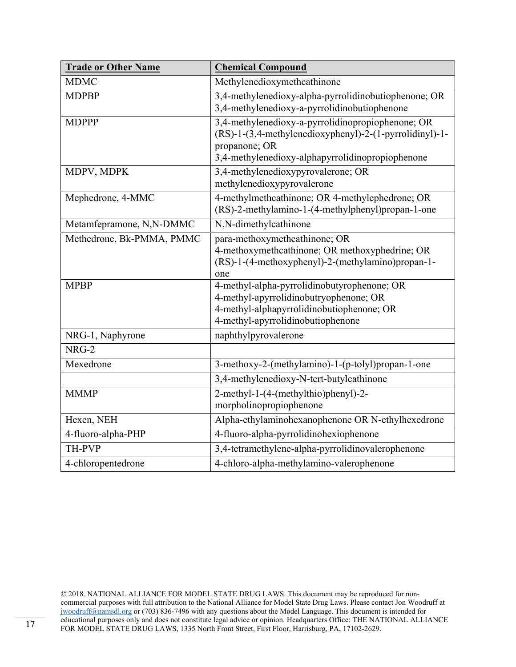| <b>Trade or Other Name</b> | <b>Chemical Compound</b>                                                                                                                                                          |
|----------------------------|-----------------------------------------------------------------------------------------------------------------------------------------------------------------------------------|
| <b>MDMC</b>                | Methylenedioxymethcathinone                                                                                                                                                       |
| <b>MDPBP</b>               | 3,4-methylenedioxy-alpha-pyrrolidinobutiophenone; OR<br>3,4-methylenedioxy-a-pyrrolidinobutiophenone                                                                              |
| <b>MDPPP</b>               | 3,4-methylenedioxy-a-pyrrolidinopropiophenone; OR<br>(RS)-1-(3,4-methylenedioxyphenyl)-2-(1-pyrrolidinyl)-1-<br>propanone; OR<br>3,4-methylenedioxy-alphapyrrolidinopropiophenone |
| MDPV, MDPK                 | 3,4-methylenedioxypyrovalerone; OR<br>methylenedioxypyrovalerone                                                                                                                  |
| Mephedrone, 4-MMC          | 4-methylmethcathinone; OR 4-methylephedrone; OR<br>(RS)-2-methylamino-1-(4-methylphenyl)propan-1-one                                                                              |
| Metamfepramone, N,N-DMMC   | N,N-dimethylcathinone                                                                                                                                                             |
| Methedrone, Bk-PMMA, PMMC  | para-methoxymethcathinone; OR<br>4-methoxymethcathinone; OR methoxyphedrine; OR<br>(RS)-1-(4-methoxyphenyl)-2-(methylamino)propan-1-<br>one                                       |
| <b>MPBP</b>                | 4-methyl-alpha-pyrrolidinobutyrophenone; OR<br>4-methyl-apyrrolidinobutryophenone; OR<br>4-methyl-alphapyrrolidinobutiophenone; OR<br>4-methyl-apyrrolidinobutiophenone           |
| NRG-1, Naphyrone           | naphthylpyrovalerone                                                                                                                                                              |
| NRG-2                      |                                                                                                                                                                                   |
| Mexedrone                  | 3-methoxy-2-(methylamino)-1-(p-tolyl)propan-1-one                                                                                                                                 |
|                            | 3,4-methylenedioxy-N-tert-butylcathinone                                                                                                                                          |
| <b>MMMP</b>                | 2-methyl-1-(4-(methylthio)phenyl)-2-<br>morpholinopropiophenone                                                                                                                   |
| Hexen, NEH                 | Alpha-ethylaminohexanophenone OR N-ethylhexedrone                                                                                                                                 |
| 4-fluoro-alpha-PHP         | 4-fluoro-alpha-pyrrolidinohexiophenone                                                                                                                                            |
| <b>TH-PVP</b>              | 3,4-tetramethylene-alpha-pyrrolidinovalerophenone                                                                                                                                 |
| 4-chloropentedrone         | 4-chloro-alpha-methylamino-valerophenone                                                                                                                                          |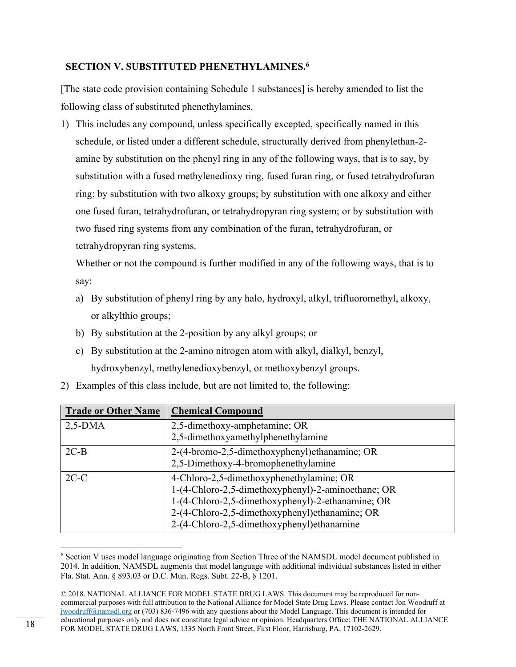# **SECTION V. SUBSTITUTED PHENETHYLAMINES.6**

[The state code provision containing Schedule 1 substances] is hereby amended to list the following class of substituted phenethylamines.

1) This includes any compound, unless specifically excepted, specifically named in this schedule, or listed under a different schedule, structurally derived from phenylethan-2 amine by substitution on the phenyl ring in any of the following ways, that is to say, by substitution with a fused methylenedioxy ring, fused furan ring, or fused tetrahydrofuran ring; by substitution with two alkoxy groups; by substitution with one alkoxy and either one fused furan, tetrahydrofuran, or tetrahydropyran ring system; or by substitution with two fused ring systems from any combination of the furan, tetrahydrofuran, or tetrahydropyran ring systems.

Whether or not the compound is further modified in any of the following ways, that is to say:

- a) By substitution of phenyl ring by any halo, hydroxyl, alkyl, trifluoromethyl, alkoxy, or alkylthio groups;
- b) By substitution at the 2-position by any alkyl groups; or
- c) By substitution at the 2-amino nitrogen atom with alkyl, dialkyl, benzyl, hydroxybenzyl, methylenedioxybenzyl, or methoxybenzyl groups.

|  |  |  | 2) Examples of this class include, but are not limited to, the following: |  |
|--|--|--|---------------------------------------------------------------------------|--|
|--|--|--|---------------------------------------------------------------------------|--|

| <b>Trade or Other Name</b> | <b>Chemical Compound</b>                                                                                                                                                                                                                             |
|----------------------------|------------------------------------------------------------------------------------------------------------------------------------------------------------------------------------------------------------------------------------------------------|
| $2,5-DMA$                  | 2,5-dimethoxy-amphetamine; OR<br>2,5-dimethoxyamethylphenethylamine                                                                                                                                                                                  |
| $2C-B$                     | 2-(4-bromo-2,5-dimethoxyphenyl) ethanamine; OR<br>2,5-Dimethoxy-4-bromophenethylamine                                                                                                                                                                |
| $2C-C$                     | 4-Chloro-2,5-dimethoxyphenethylamine; OR<br>1-(4-Chloro-2,5-dimethoxyphenyl)-2-aminoethane; OR<br>1-(4-Chloro-2,5-dimethoxyphenyl)-2-ethanamine; OR<br>2-(4-Chloro-2,5-dimethoxyphenyl)ethanamine; OR<br>2-(4-Chloro-2,5-dimethoxyphenyl) ethanamine |

<sup>&</sup>lt;sup>6</sup> Section V uses model language originating from Section Three of the NAMSDL model document published in 2014. In addition, NAMSDL augments that model language with additional individual substances listed in either Fla. Stat. Ann. § 893.03 or D.C. Mun. Regs. Subt. 22-B, § 1201.

<sup>© 2018.</sup> NATIONAL ALLIANCE FOR MODEL STATE DRUG LAWS. This document may be reproduced for noncommercial purposes with full attribution to the National Alliance for Model State Drug Laws. Please contact Jon Woodruff at jwoodruff@namsdl.org or (703) 836-7496 with any questions about the Model Language. This document is intended for educational purposes only and does not constitute legal advice or opinion. Headquarters Office: THE NATIONAL ALLIANCE FOR MODEL STATE DRUG LAWS, 1335 North Front Street, First Floor, Harrisburg, PA, 17102-2629.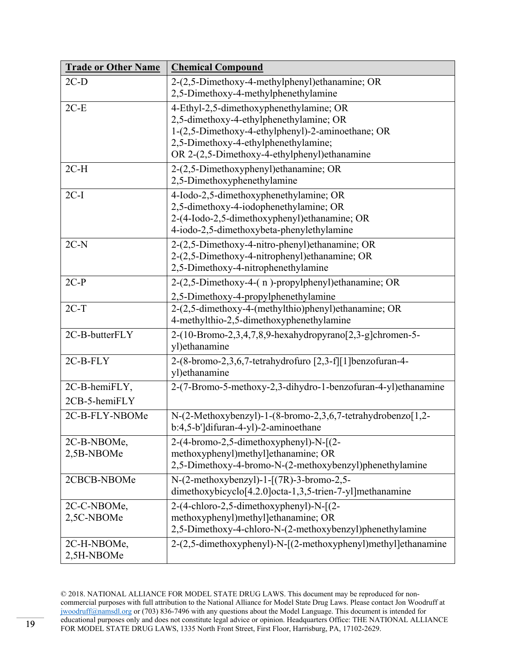| 2-(2,5-Dimethoxy-4-methylphenyl) ethanamine; OR<br>$2C-D$<br>2,5-Dimethoxy-4-methylphenethylamine<br>$2C-E$<br>4-Ethyl-2,5-dimethoxyphenethylamine; OR<br>2,5-dimethoxy-4-ethylphenethylamine; OR<br>1-(2,5-Dimethoxy-4-ethylphenyl)-2-aminoethane; OR<br>2,5-Dimethoxy-4-ethylphenethylamine;<br>OR 2-(2,5-Dimethoxy-4-ethylphenyl)ethanamine<br>2-(2,5-Dimethoxyphenyl)ethanamine; OR<br>$2C-H$<br>2,5-Dimethoxyphenethylamine<br>$2C-I$<br>4-Iodo-2,5-dimethoxyphenethylamine; OR<br>2,5-dimethoxy-4-iodophenethylamine; OR<br>2-(4-Iodo-2,5-dimethoxyphenyl) ethanamine; OR<br>4-iodo-2,5-dimethoxybeta-phenylethylamine<br>$2C-N$<br>2-(2,5-Dimethoxy-4-nitro-phenyl) ethanamine; OR<br>2-(2,5-Dimethoxy-4-nitrophenyl) ethanamine; OR<br>2,5-Dimethoxy-4-nitrophenethylamine<br>$2C-P$<br>2-(2,5-Dimethoxy-4-(n)-propylphenyl)ethanamine; OR<br>2,5-Dimethoxy-4-propylphenethylamine<br>2-(2,5-dimethoxy-4-(methylthio)phenyl)ethanamine; OR<br>$2C-T$<br>4-methylthio-2,5-dimethoxyphenethylamine<br>2C-B-butterFLY<br>2-(10-Bromo-2,3,4,7,8,9-hexahydropyrano[2,3-g]chromen-5-<br>yl)ethanamine<br>2-(8-bromo-2,3,6,7-tetrahydrofuro [2,3-f][1]benzofuran-4-<br>2C-B-FLY<br>yl) ethanamine<br>2C-B-hemiFLY,<br>2-(7-Bromo-5-methoxy-2,3-dihydro-1-benzofuran-4-yl)ethanamine<br>2CB-5-hemiFLY<br>N-(2-Methoxybenzyl)-1-(8-bromo-2,3,6,7-tetrahydrobenzo[1,2-<br>2C-B-FLY-NBOMe<br>b:4,5-b']difuran-4-yl)-2-aminoethane |
|--------------------------------------------------------------------------------------------------------------------------------------------------------------------------------------------------------------------------------------------------------------------------------------------------------------------------------------------------------------------------------------------------------------------------------------------------------------------------------------------------------------------------------------------------------------------------------------------------------------------------------------------------------------------------------------------------------------------------------------------------------------------------------------------------------------------------------------------------------------------------------------------------------------------------------------------------------------------------------------------------------------------------------------------------------------------------------------------------------------------------------------------------------------------------------------------------------------------------------------------------------------------------------------------------------------------------------------------------------------------------------------------------------------------------------|
|                                                                                                                                                                                                                                                                                                                                                                                                                                                                                                                                                                                                                                                                                                                                                                                                                                                                                                                                                                                                                                                                                                                                                                                                                                                                                                                                                                                                                                |
|                                                                                                                                                                                                                                                                                                                                                                                                                                                                                                                                                                                                                                                                                                                                                                                                                                                                                                                                                                                                                                                                                                                                                                                                                                                                                                                                                                                                                                |
|                                                                                                                                                                                                                                                                                                                                                                                                                                                                                                                                                                                                                                                                                                                                                                                                                                                                                                                                                                                                                                                                                                                                                                                                                                                                                                                                                                                                                                |
|                                                                                                                                                                                                                                                                                                                                                                                                                                                                                                                                                                                                                                                                                                                                                                                                                                                                                                                                                                                                                                                                                                                                                                                                                                                                                                                                                                                                                                |
|                                                                                                                                                                                                                                                                                                                                                                                                                                                                                                                                                                                                                                                                                                                                                                                                                                                                                                                                                                                                                                                                                                                                                                                                                                                                                                                                                                                                                                |
|                                                                                                                                                                                                                                                                                                                                                                                                                                                                                                                                                                                                                                                                                                                                                                                                                                                                                                                                                                                                                                                                                                                                                                                                                                                                                                                                                                                                                                |
|                                                                                                                                                                                                                                                                                                                                                                                                                                                                                                                                                                                                                                                                                                                                                                                                                                                                                                                                                                                                                                                                                                                                                                                                                                                                                                                                                                                                                                |
|                                                                                                                                                                                                                                                                                                                                                                                                                                                                                                                                                                                                                                                                                                                                                                                                                                                                                                                                                                                                                                                                                                                                                                                                                                                                                                                                                                                                                                |
|                                                                                                                                                                                                                                                                                                                                                                                                                                                                                                                                                                                                                                                                                                                                                                                                                                                                                                                                                                                                                                                                                                                                                                                                                                                                                                                                                                                                                                |
|                                                                                                                                                                                                                                                                                                                                                                                                                                                                                                                                                                                                                                                                                                                                                                                                                                                                                                                                                                                                                                                                                                                                                                                                                                                                                                                                                                                                                                |
|                                                                                                                                                                                                                                                                                                                                                                                                                                                                                                                                                                                                                                                                                                                                                                                                                                                                                                                                                                                                                                                                                                                                                                                                                                                                                                                                                                                                                                |
|                                                                                                                                                                                                                                                                                                                                                                                                                                                                                                                                                                                                                                                                                                                                                                                                                                                                                                                                                                                                                                                                                                                                                                                                                                                                                                                                                                                                                                |
|                                                                                                                                                                                                                                                                                                                                                                                                                                                                                                                                                                                                                                                                                                                                                                                                                                                                                                                                                                                                                                                                                                                                                                                                                                                                                                                                                                                                                                |
|                                                                                                                                                                                                                                                                                                                                                                                                                                                                                                                                                                                                                                                                                                                                                                                                                                                                                                                                                                                                                                                                                                                                                                                                                                                                                                                                                                                                                                |
|                                                                                                                                                                                                                                                                                                                                                                                                                                                                                                                                                                                                                                                                                                                                                                                                                                                                                                                                                                                                                                                                                                                                                                                                                                                                                                                                                                                                                                |
|                                                                                                                                                                                                                                                                                                                                                                                                                                                                                                                                                                                                                                                                                                                                                                                                                                                                                                                                                                                                                                                                                                                                                                                                                                                                                                                                                                                                                                |
|                                                                                                                                                                                                                                                                                                                                                                                                                                                                                                                                                                                                                                                                                                                                                                                                                                                                                                                                                                                                                                                                                                                                                                                                                                                                                                                                                                                                                                |
|                                                                                                                                                                                                                                                                                                                                                                                                                                                                                                                                                                                                                                                                                                                                                                                                                                                                                                                                                                                                                                                                                                                                                                                                                                                                                                                                                                                                                                |
|                                                                                                                                                                                                                                                                                                                                                                                                                                                                                                                                                                                                                                                                                                                                                                                                                                                                                                                                                                                                                                                                                                                                                                                                                                                                                                                                                                                                                                |
|                                                                                                                                                                                                                                                                                                                                                                                                                                                                                                                                                                                                                                                                                                                                                                                                                                                                                                                                                                                                                                                                                                                                                                                                                                                                                                                                                                                                                                |
|                                                                                                                                                                                                                                                                                                                                                                                                                                                                                                                                                                                                                                                                                                                                                                                                                                                                                                                                                                                                                                                                                                                                                                                                                                                                                                                                                                                                                                |
|                                                                                                                                                                                                                                                                                                                                                                                                                                                                                                                                                                                                                                                                                                                                                                                                                                                                                                                                                                                                                                                                                                                                                                                                                                                                                                                                                                                                                                |
|                                                                                                                                                                                                                                                                                                                                                                                                                                                                                                                                                                                                                                                                                                                                                                                                                                                                                                                                                                                                                                                                                                                                                                                                                                                                                                                                                                                                                                |
|                                                                                                                                                                                                                                                                                                                                                                                                                                                                                                                                                                                                                                                                                                                                                                                                                                                                                                                                                                                                                                                                                                                                                                                                                                                                                                                                                                                                                                |
|                                                                                                                                                                                                                                                                                                                                                                                                                                                                                                                                                                                                                                                                                                                                                                                                                                                                                                                                                                                                                                                                                                                                                                                                                                                                                                                                                                                                                                |
|                                                                                                                                                                                                                                                                                                                                                                                                                                                                                                                                                                                                                                                                                                                                                                                                                                                                                                                                                                                                                                                                                                                                                                                                                                                                                                                                                                                                                                |
|                                                                                                                                                                                                                                                                                                                                                                                                                                                                                                                                                                                                                                                                                                                                                                                                                                                                                                                                                                                                                                                                                                                                                                                                                                                                                                                                                                                                                                |
|                                                                                                                                                                                                                                                                                                                                                                                                                                                                                                                                                                                                                                                                                                                                                                                                                                                                                                                                                                                                                                                                                                                                                                                                                                                                                                                                                                                                                                |
| 2C-B-NBOMe,<br>2-(4-bromo-2,5-dimethoxyphenyl)-N-[(2-                                                                                                                                                                                                                                                                                                                                                                                                                                                                                                                                                                                                                                                                                                                                                                                                                                                                                                                                                                                                                                                                                                                                                                                                                                                                                                                                                                          |
| 2,5B-NBOMe<br>methoxyphenyl)methyl]ethanamine; OR                                                                                                                                                                                                                                                                                                                                                                                                                                                                                                                                                                                                                                                                                                                                                                                                                                                                                                                                                                                                                                                                                                                                                                                                                                                                                                                                                                              |
| 2,5-Dimethoxy-4-bromo-N-(2-methoxybenzyl)phenethylamine                                                                                                                                                                                                                                                                                                                                                                                                                                                                                                                                                                                                                                                                                                                                                                                                                                                                                                                                                                                                                                                                                                                                                                                                                                                                                                                                                                        |
| $N-(2-methoxybenzyl)-1-[(7R)-3-bromo-2,5-$<br>2CBCB-NBOMe                                                                                                                                                                                                                                                                                                                                                                                                                                                                                                                                                                                                                                                                                                                                                                                                                                                                                                                                                                                                                                                                                                                                                                                                                                                                                                                                                                      |
| dimethoxybicyclo <sup>[4.2.0]</sup> octa-1,3,5-trien-7-yl]methanamine                                                                                                                                                                                                                                                                                                                                                                                                                                                                                                                                                                                                                                                                                                                                                                                                                                                                                                                                                                                                                                                                                                                                                                                                                                                                                                                                                          |
| 2C-C-NBOMe,<br>2-(4-chloro-2,5-dimethoxyphenyl)-N-[(2-                                                                                                                                                                                                                                                                                                                                                                                                                                                                                                                                                                                                                                                                                                                                                                                                                                                                                                                                                                                                                                                                                                                                                                                                                                                                                                                                                                         |
| 2,5C-NBOMe<br>methoxyphenyl)methyl]ethanamine; OR                                                                                                                                                                                                                                                                                                                                                                                                                                                                                                                                                                                                                                                                                                                                                                                                                                                                                                                                                                                                                                                                                                                                                                                                                                                                                                                                                                              |
| 2,5-Dimethoxy-4-chloro-N-(2-methoxybenzyl)phenethylamine                                                                                                                                                                                                                                                                                                                                                                                                                                                                                                                                                                                                                                                                                                                                                                                                                                                                                                                                                                                                                                                                                                                                                                                                                                                                                                                                                                       |
| 2-(2,5-dimethoxyphenyl)-N-[(2-methoxyphenyl)methyl]ethanamine<br>2C-H-NBOMe,                                                                                                                                                                                                                                                                                                                                                                                                                                                                                                                                                                                                                                                                                                                                                                                                                                                                                                                                                                                                                                                                                                                                                                                                                                                                                                                                                   |
| 2,5H-NBOMe                                                                                                                                                                                                                                                                                                                                                                                                                                                                                                                                                                                                                                                                                                                                                                                                                                                                                                                                                                                                                                                                                                                                                                                                                                                                                                                                                                                                                     |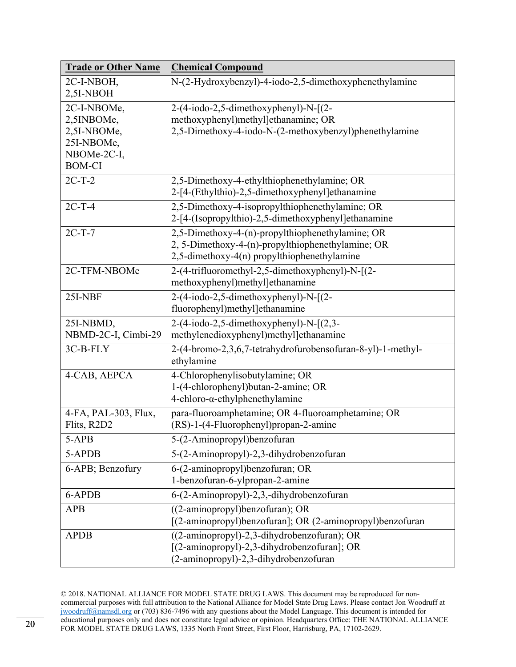| <b>Trade or Other Name</b> | <b>Chemical Compound</b>                                    |
|----------------------------|-------------------------------------------------------------|
| 2C-I-NBOH,                 | N-(2-Hydroxybenzyl)-4-iodo-2,5-dimethoxyphenethylamine      |
| 2,5I-NBOH                  |                                                             |
| 2C-I-NBOMe,                | $2-(4-iodo-2,5-dimethoxyphenyl)-N-[2-$                      |
| 2,5INBOMe,                 | methoxyphenyl)methyl]ethanamine; OR                         |
| 2,5I-NBOMe,                | 2,5-Dimethoxy-4-iodo-N-(2-methoxybenzyl)phenethylamine      |
| 25I-NBOMe,                 |                                                             |
| NBOMe-2C-I,                |                                                             |
| <b>BOM-CI</b>              |                                                             |
| $2C-T-2$                   | 2,5-Dimethoxy-4-ethylthiophenethylamine; OR                 |
|                            | 2-[4-(Ethylthio)-2,5-dimethoxyphenyl]ethanamine             |
| $2C-T-4$                   | 2,5-Dimethoxy-4-isopropylthiophenethylamine; OR             |
|                            | 2-[4-(Isopropylthio)-2,5-dimethoxyphenyl]ethanamine         |
| $2C-T-7$                   | 2,5-Dimethoxy-4-(n)-propylthiophenethylamine; OR            |
|                            | 2, 5-Dimethoxy-4-(n)-propylthiophenethylamine; OR           |
|                            | 2,5-dimethoxy-4(n) propylthiophenethylamine                 |
| 2C-TFM-NBOMe               | 2-(4-trifluoromethyl-2,5-dimethoxyphenyl)-N-[(2-            |
|                            | methoxyphenyl)methyl]ethanamine                             |
| 25I-NBF                    | $2-(4-iodo-2,5-dimethoxyphenyl)-N-[2-$                      |
|                            | fluorophenyl)methyl]ethanamine                              |
| 25I-NBMD,                  | $2-(4-iodo-2,5-dimethoxyphenyl)-N-[2,3-$                    |
| NBMD-2C-I, Cimbi-29        | methylenedioxyphenyl)methyl]ethanamine                      |
| 3C-B-FLY                   | 2-(4-bromo-2,3,6,7-tetrahydrofurobensofuran-8-yl)-1-methyl- |
|                            | ethylamine                                                  |
| 4-CAB, AEPCA               | 4-Chlorophenylisobutylamine; OR                             |
|                            | 1-(4-chlorophenyl)butan-2-amine; OR                         |
|                            | $4$ -chloro- $\alpha$ -ethylphenethylamine                  |
| 4-FA, PAL-303, Flux,       | para-fluoroamphetamine; OR 4-fluoroamphetamine; OR          |
| Flits, R2D2                | (RS)-1-(4-Fluorophenyl)propan-2-amine                       |
| 5-APB                      | 5-(2-Aminopropyl)benzofuran                                 |
| 5-APDB                     | 5-(2-Aminopropyl)-2,3-dihydrobenzofuran                     |
| 6-APB; Benzofury           | 6-(2-aminopropyl)benzofuran; OR                             |
|                            | 1-benzofuran-6-ylpropan-2-amine                             |
| 6-APDB                     | 6-(2-Aminopropyl)-2,3,-dihydrobenzofuran                    |
| <b>APB</b>                 | $((2-aminopropyl)$ benzofuran); OR                          |
|                            | [(2-aminopropyl)benzofuran]; OR (2-aminopropyl)benzofuran   |
| <b>APDB</b>                | ((2-aminopropyl)-2,3-dihydrobenzofuran); OR                 |
|                            | [(2-aminopropyl)-2,3-dihydrobenzofuran]; OR                 |
|                            | (2-aminopropyl)-2,3-dihydrobenzofuran                       |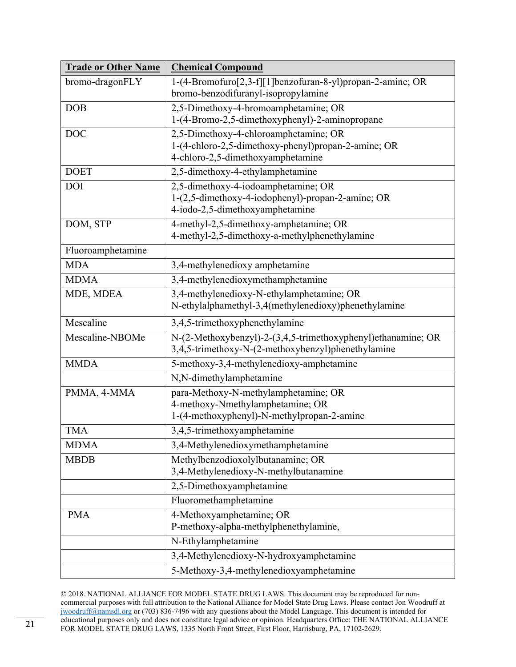| <b>Trade or Other Name</b> | <b>Chemical Compound</b>                                                                                                          |
|----------------------------|-----------------------------------------------------------------------------------------------------------------------------------|
| bromo-dragonFLY            | 1-(4-Bromofuro[2,3-f][1]benzofuran-8-yl)propan-2-amine; OR<br>bromo-benzodifuranyl-isopropylamine                                 |
| DOB                        | 2,5-Dimethoxy-4-bromoamphetamine; OR<br>1-(4-Bromo-2,5-dimethoxyphenyl)-2-aminopropane                                            |
| <b>DOC</b>                 | 2,5-Dimethoxy-4-chloroamphetamine; OR<br>1-(4-chloro-2,5-dimethoxy-phenyl)propan-2-amine; OR<br>4-chloro-2,5-dimethoxyamphetamine |
| <b>DOET</b>                | 2,5-dimethoxy-4-ethylamphetamine                                                                                                  |
| <b>DOI</b>                 | 2,5-dimethoxy-4-iodoamphetamine; OR<br>1-(2,5-dimethoxy-4-iodophenyl)-propan-2-amine; OR<br>4-iodo-2,5-dimethoxyamphetamine       |
| DOM, STP                   | 4-methyl-2,5-dimethoxy-amphetamine; OR<br>4-methyl-2,5-dimethoxy-a-methylphenethylamine                                           |
| Fluoroamphetamine          |                                                                                                                                   |
| <b>MDA</b>                 | 3,4-methylenedioxy amphetamine                                                                                                    |
| <b>MDMA</b>                | 3,4-methylenedioxymethamphetamine                                                                                                 |
| MDE, MDEA                  | 3,4-methylenedioxy-N-ethylamphetamine; OR<br>N-ethylalphamethyl-3,4(methylenedioxy)phenethylamine                                 |
| Mescaline                  | 3,4,5-trimethoxyphenethylamine                                                                                                    |
| Mescaline-NBOMe            | N-(2-Methoxybenzyl)-2-(3,4,5-trimethoxyphenyl)ethanamine; OR<br>3,4,5-trimethoxy-N-(2-methoxybenzyl)phenethylamine                |
| <b>MMDA</b>                | 5-methoxy-3,4-methylenedioxy-amphetamine                                                                                          |
|                            | N,N-dimethylamphetamine                                                                                                           |
| PMMA, 4-MMA                | para-Methoxy-N-methylamphetamine; OR<br>4-methoxy-Nmethylamphetamine; OR<br>1-(4-methoxyphenyl)-N-methylpropan-2-amine            |
| <b>TMA</b>                 | 3,4,5-trimethoxyamphetamine                                                                                                       |
| <b>MDMA</b>                | 3,4-Methylenedioxymethamphetamine                                                                                                 |
| <b>MBDB</b>                | Methylbenzodioxolylbutanamine; OR<br>3,4-Methylenedioxy-N-methylbutanamine                                                        |
|                            | 2,5-Dimethoxyamphetamine                                                                                                          |
|                            | Fluoromethamphetamine                                                                                                             |
| <b>PMA</b>                 | 4-Methoxyamphetamine; OR<br>P-methoxy-alpha-methylphenethylamine,                                                                 |
|                            | N-Ethylamphetamine                                                                                                                |
|                            | 3,4-Methylenedioxy-N-hydroxyamphetamine                                                                                           |
|                            | 5-Methoxy-3,4-methylenedioxyamphetamine                                                                                           |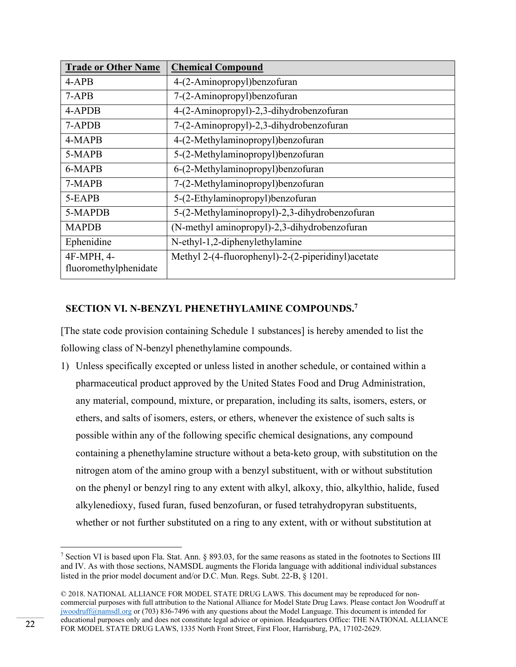| <b>Trade or Other Name</b>          | <b>Chemical Compound</b>                            |
|-------------------------------------|-----------------------------------------------------|
| $4-APB$                             | 4-(2-Aminopropyl)benzofuran                         |
| $7-APB$                             | 7-(2-Aminopropyl)benzofuran                         |
| 4-APDB                              | 4-(2-Aminopropyl)-2,3-dihydrobenzofuran             |
| 7-APDB                              | 7-(2-Aminopropyl)-2,3-dihydrobenzofuran             |
| 4-MAPB                              | 4-(2-Methylaminopropyl)benzofuran                   |
| 5-MAPB                              | 5-(2-Methylaminopropyl)benzofuran                   |
| 6-MAPB                              | 6-(2-Methylaminopropyl)benzofuran                   |
| 7-MAPB                              | 7-(2-Methylaminopropyl)benzofuran                   |
| 5-EAPB                              | 5-(2-Ethylaminopropyl)benzofuran                    |
| 5-MAPDB                             | 5-(2-Methylaminopropyl)-2,3-dihydrobenzofuran       |
| <b>MAPDB</b>                        | (N-methyl aminopropyl)-2,3-dihydrobenzofuran        |
| Ephenidine                          | N-ethyl-1,2-diphenylethylamine                      |
| 4F-MPH, 4-<br>fluoromethylphenidate | Methyl 2-(4-fluorophenyl)-2-(2-piperidinyl) acetate |

# **SECTION VI. N-BENZYL PHENETHYLAMINE COMPOUNDS.7**

[The state code provision containing Schedule 1 substances] is hereby amended to list the following class of N-benzyl phenethylamine compounds.

1) Unless specifically excepted or unless listed in another schedule, or contained within a pharmaceutical product approved by the United States Food and Drug Administration, any material, compound, mixture, or preparation, including its salts, isomers, esters, or ethers, and salts of isomers, esters, or ethers, whenever the existence of such salts is possible within any of the following specific chemical designations, any compound containing a phenethylamine structure without a beta-keto group, with substitution on the nitrogen atom of the amino group with a benzyl substituent, with or without substitution on the phenyl or benzyl ring to any extent with alkyl, alkoxy, thio, alkylthio, halide, fused alkylenedioxy, fused furan, fused benzofuran, or fused tetrahydropyran substituents, whether or not further substituted on a ring to any extent, with or without substitution at

<sup>&</sup>lt;sup>7</sup> Section VI is based upon Fla. Stat. Ann. § 893.03, for the same reasons as stated in the footnotes to Sections III and IV. As with those sections, NAMSDL augments the Florida language with additional individual substances listed in the prior model document and/or D.C. Mun. Regs. Subt. 22-B, § 1201.

<sup>© 2018.</sup> NATIONAL ALLIANCE FOR MODEL STATE DRUG LAWS. This document may be reproduced for noncommercial purposes with full attribution to the National Alliance for Model State Drug Laws. Please contact Jon Woodruff at jwoodruff@namsdl.org or (703) 836-7496 with any questions about the Model Language. This document is intended for educational purposes only and does not constitute legal advice or opinion. Headquarters Office: THE NATIONAL ALLIANCE FOR MODEL STATE DRUG LAWS, 1335 North Front Street, First Floor, Harrisburg, PA, 17102-2629.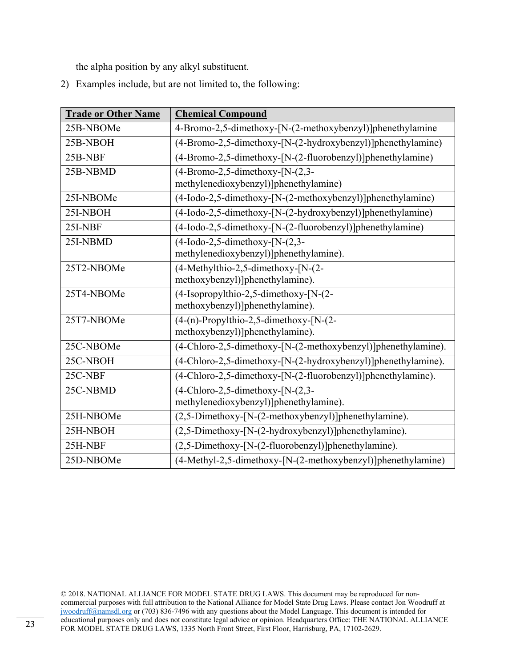the alpha position by any alkyl substituent.

2) Examples include, but are not limited to, the following:

| <b>Trade or Other Name</b> | <b>Chemical Compound</b>                                                          |
|----------------------------|-----------------------------------------------------------------------------------|
| 25B-NBOMe                  | 4-Bromo-2,5-dimethoxy-[N-(2-methoxybenzyl)]phenethylamine                         |
| 25B-NBOH                   | (4-Bromo-2,5-dimethoxy-[N-(2-hydroxybenzyl)]phenethylamine)                       |
| 25B-NBF                    | (4-Bromo-2,5-dimethoxy-[N-(2-fluorobenzyl)]phenethylamine)                        |
| 25B-NBMD                   | $(4-Bromo-2, 5-dimethoxy-[N-(2,3-$<br>methylenedioxybenzyl)]phenethylamine)       |
| 25I-NBOMe                  | (4-Iodo-2,5-dimethoxy-[N-(2-methoxybenzyl)]phenethylamine)                        |
| 25I-NBOH                   | (4-Iodo-2,5-dimethoxy-[N-(2-hydroxybenzyl)]phenethylamine)                        |
| 25I-NBF                    | (4-Iodo-2,5-dimethoxy-[N-(2-fluorobenzyl)]phenethylamine)                         |
| 25I-NBMD                   | $(4$ -Iodo-2,5-dimethoxy-[N- $(2,3$ -<br>methylenedioxybenzyl)]phenethylamine).   |
| 25T2-NBOMe                 | (4-Methylthio-2,5-dimethoxy-[N-(2-<br>methoxybenzyl)]phenethylamine).             |
| 25T4-NBOMe                 | (4-Isopropylthio-2,5-dimethoxy-[N-(2-<br>methoxybenzyl)]phenethylamine).          |
| 25T7-NBOMe                 | $(4-(n)$ -Propylthio-2,5-dimethoxy-[N- $(2-$<br>methoxybenzyl)]phenethylamine).   |
| 25C-NBOMe                  | (4-Chloro-2,5-dimethoxy-[N-(2-methoxybenzyl)]phenethylamine).                     |
| 25C-NBOH                   | (4-Chloro-2,5-dimethoxy-[N-(2-hydroxybenzyl)]phenethylamine).                     |
| 25C-NBF                    | (4-Chloro-2,5-dimethoxy-[N-(2-fluorobenzyl)]phenethylamine).                      |
| 25C-NBMD                   | $(4$ -Chloro-2,5-dimethoxy-[N- $(2,3$ -<br>methylenedioxybenzyl)]phenethylamine). |
| 25H-NBOMe                  | (2,5-Dimethoxy-[N-(2-methoxybenzyl)]phenethylamine).                              |
| 25H-NBOH                   | (2,5-Dimethoxy-[N-(2-hydroxybenzyl)]phenethylamine).                              |
| 25H-NBF                    | (2,5-Dimethoxy-[N-(2-fluorobenzyl)]phenethylamine).                               |
| 25D-NBOMe                  | (4-Methyl-2,5-dimethoxy-[N-(2-methoxybenzyl)]phenethylamine)                      |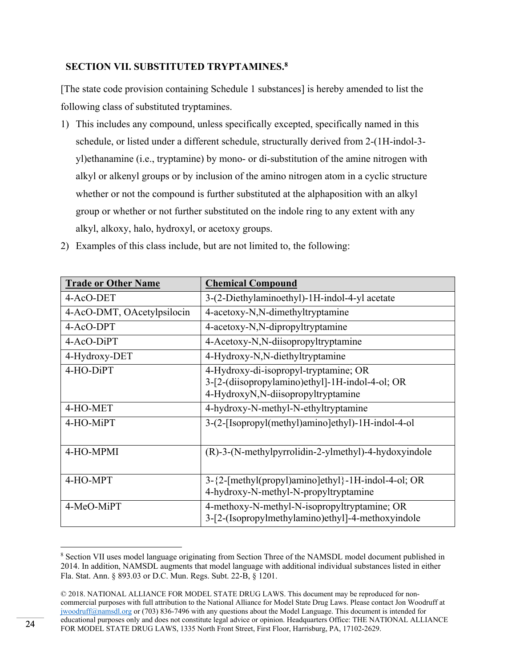# **SECTION VII. SUBSTITUTED TRYPTAMINES.8**

[The state code provision containing Schedule 1 substances] is hereby amended to list the following class of substituted tryptamines.

1) This includes any compound, unless specifically excepted, specifically named in this schedule, or listed under a different schedule, structurally derived from 2-(1H-indol-3 yl)ethanamine (i.e., tryptamine) by mono- or di-substitution of the amine nitrogen with alkyl or alkenyl groups or by inclusion of the amino nitrogen atom in a cyclic structure whether or not the compound is further substituted at the alphaposition with an alkyl group or whether or not further substituted on the indole ring to any extent with any alkyl, alkoxy, halo, hydroxyl, or acetoxy groups.

| <b>Trade or Other Name</b> | <b>Chemical Compound</b>                                                                                                       |
|----------------------------|--------------------------------------------------------------------------------------------------------------------------------|
| 4-AcO-DET                  | 3-(2-Diethylaminoethyl)-1H-indol-4-yl acetate                                                                                  |
| 4-AcO-DMT, OAcetylpsilocin | 4-acetoxy-N,N-dimethyltryptamine                                                                                               |
| 4-AcO-DPT                  | 4-acetoxy-N,N-dipropyltryptamine                                                                                               |
| 4-AcO-DiPT                 | 4-Acetoxy-N,N-diisopropyltryptamine                                                                                            |
| 4-Hydroxy-DET              | 4-Hydroxy-N,N-diethyltryptamine                                                                                                |
| 4-HO-DiPT                  | 4-Hydroxy-di-isopropyl-tryptamine; OR<br>3-[2-(diisopropylamino)ethyl]-1H-indol-4-ol; OR<br>4-HydroxyN,N-diisopropyltryptamine |
| 4-HO-MET                   | 4-hydroxy-N-methyl-N-ethyltryptamine                                                                                           |
| 4-HO-MiPT                  | 3-(2-[Isopropyl(methyl)amino]ethyl)-1H-indol-4-ol                                                                              |
| 4-HO-MPMI                  | (R)-3-(N-methylpyrrolidin-2-ylmethyl)-4-hydoxyindole                                                                           |
| 4-HO-MPT                   | 3-{2-[methyl(propyl)amino]ethyl}-1H-indol-4-ol; OR<br>4-hydroxy-N-methyl-N-propyltryptamine                                    |
| 4-MeO-MiPT                 | 4-methoxy-N-methyl-N-isopropyltryptamine; OR<br>3-[2-(Isopropylmethylamino)ethyl]-4-methoxyindole                              |

2) Examples of this class include, but are not limited to, the following:

<sup>&</sup>lt;sup>8</sup> Section VII uses model language originating from Section Three of the NAMSDL model document published in 2014. In addition, NAMSDL augments that model language with additional individual substances listed in either Fla. Stat. Ann. § 893.03 or D.C. Mun. Regs. Subt. 22-B, § 1201.

<sup>© 2018.</sup> NATIONAL ALLIANCE FOR MODEL STATE DRUG LAWS. This document may be reproduced for noncommercial purposes with full attribution to the National Alliance for Model State Drug Laws. Please contact Jon Woodruff at jwoodruff@namsdl.org or (703) 836-7496 with any questions about the Model Language. This document is intended for educational purposes only and does not constitute legal advice or opinion. Headquarters Office: THE NATIONAL ALLIANCE FOR MODEL STATE DRUG LAWS, 1335 North Front Street, First Floor, Harrisburg, PA, 17102-2629.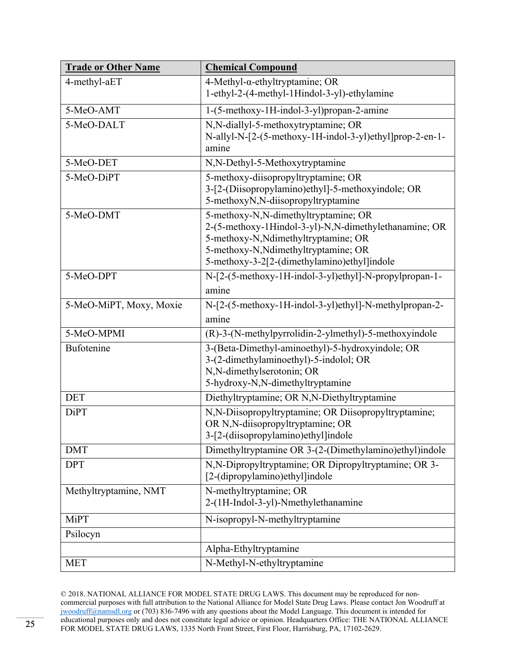| <b>Trade or Other Name</b> | <b>Chemical Compound</b>                                                                                                                                                                                                     |
|----------------------------|------------------------------------------------------------------------------------------------------------------------------------------------------------------------------------------------------------------------------|
| 4-methyl-aET               | $4$ -Methyl- $\alpha$ -ethyltryptamine; OR<br>1-ethyl-2-(4-methyl-1Hindol-3-yl)-ethylamine                                                                                                                                   |
| 5-MeO-AMT                  | 1-(5-methoxy-1H-indol-3-yl)propan-2-amine                                                                                                                                                                                    |
| 5-MeO-DALT                 | N,N-diallyl-5-methoxytryptamine; OR<br>N-allyl-N-[2-(5-methoxy-1H-indol-3-yl)ethyl]prop-2-en-1-<br>amine                                                                                                                     |
| 5-MeO-DET                  | N,N-Dethyl-5-Methoxytryptamine                                                                                                                                                                                               |
| 5-MeO-DiPT                 | 5-methoxy-diisopropyltryptamine; OR<br>3-[2-(Diisopropylamino)ethyl]-5-methoxyindole; OR<br>5-methoxyN,N-diisopropyltryptamine                                                                                               |
| 5-MeO-DMT                  | 5-methoxy-N,N-dimethyltryptamine; OR<br>2-(5-methoxy-1Hindol-3-yl)-N,N-dimethylethanamine; OR<br>5-methoxy-N, Ndimethyltryptamine; OR<br>5-methoxy-N, Ndimethyltryptamine; OR<br>5-methoxy-3-2[2-(dimethylamino)ethyl]indole |
| 5-MeO-DPT                  | N-[2-(5-methoxy-1H-indol-3-yl)ethyl]-N-propylpropan-1-<br>amine                                                                                                                                                              |
| 5-MeO-MiPT, Moxy, Moxie    | N-[2-(5-methoxy-1H-indol-3-yl)ethyl]-N-methylpropan-2-<br>amine                                                                                                                                                              |
| 5-MeO-MPMI                 | (R)-3-(N-methylpyrrolidin-2-ylmethyl)-5-methoxyindole                                                                                                                                                                        |
| Bufotenine                 | 3-(Beta-Dimethyl-aminoethyl)-5-hydroxyindole; OR<br>3-(2-dimethylaminoethyl)-5-indolol; OR<br>N,N-dimethylserotonin; OR<br>5-hydroxy-N,N-dimethyltryptamine                                                                  |
| <b>DET</b>                 | Diethyltryptamine; OR N,N-Diethyltryptamine                                                                                                                                                                                  |
| <b>DiPT</b>                | N,N-Diisopropyltryptamine; OR Diisopropyltryptamine;<br>OR N,N-diisopropyltryptamine; OR<br>3-[2-(diisopropylamino)ethyl]indole                                                                                              |
| <b>DMT</b>                 | Dimethyltryptamine OR 3-(2-(Dimethylamino)ethyl)indole                                                                                                                                                                       |
| <b>DPT</b>                 | N,N-Dipropyltryptamine; OR Dipropyltryptamine; OR 3-<br>[2-(dipropylamino)ethyl]indole                                                                                                                                       |
| Methyltryptamine, NMT      | N-methyltryptamine; OR<br>2-(1H-Indol-3-yl)-Nmethylethanamine                                                                                                                                                                |
| <b>MiPT</b>                | N-isopropyl-N-methyltryptamine                                                                                                                                                                                               |
| Psilocyn                   |                                                                                                                                                                                                                              |
|                            | Alpha-Ethyltryptamine                                                                                                                                                                                                        |
| <b>MET</b>                 | N-Methyl-N-ethyltryptamine                                                                                                                                                                                                   |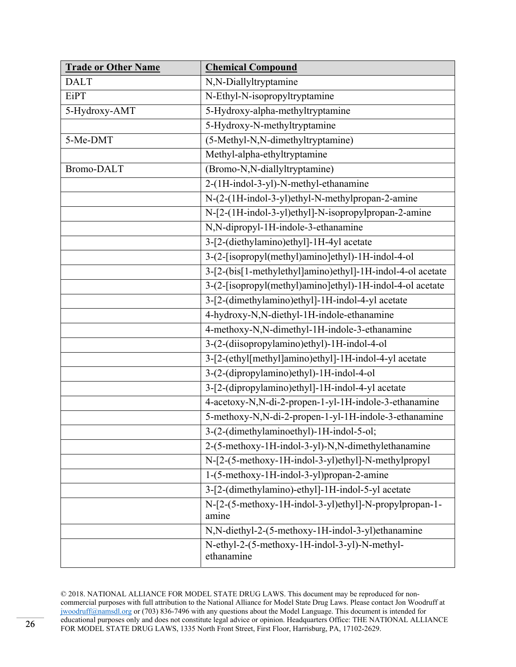| <b>Trade or Other Name</b> | <b>Chemical Compound</b>                                        |
|----------------------------|-----------------------------------------------------------------|
| <b>DALT</b>                | N,N-Diallyltryptamine                                           |
| <b>EiPT</b>                | N-Ethyl-N-isopropyltryptamine                                   |
| 5-Hydroxy-AMT              | 5-Hydroxy-alpha-methyltryptamine                                |
|                            | 5-Hydroxy-N-methyltryptamine                                    |
| 5-Me-DMT                   | (5-Methyl-N,N-dimethyltryptamine)                               |
|                            | Methyl-alpha-ethyltryptamine                                    |
| <b>Bromo-DALT</b>          | (Bromo-N,N-diallyltryptamine)                                   |
|                            | 2-(1H-indol-3-yl)-N-methyl-ethanamine                           |
|                            | N-(2-(1H-indol-3-yl)ethyl-N-methylpropan-2-amine                |
|                            | N-[2-(1H-indol-3-yl)ethyl]-N-isopropylpropan-2-amine            |
|                            | N,N-dipropyl-1H-indole-3-ethanamine                             |
|                            | 3-[2-(diethylamino)ethyl]-1H-4yl acetate                        |
|                            | 3-(2-[isopropyl(methyl)amino]ethyl)-1H-indol-4-ol               |
|                            | 3-[2-(bis[1-methylethyl]amino)ethyl]-1H-indol-4-ol acetate      |
|                            | 3-(2-[isopropyl(methyl)amino]ethyl)-1H-indol-4-ol acetate       |
|                            | 3-[2-(dimethylamino)ethyl]-1H-indol-4-yl acetate                |
|                            | 4-hydroxy-N,N-diethyl-1H-indole-ethanamine                      |
|                            | 4-methoxy-N,N-dimethyl-1H-indole-3-ethanamine                   |
|                            | 3-(2-(diisopropylamino)ethyl)-1H-indol-4-ol                     |
|                            | 3-[2-(ethyl[methyl]amino)ethyl]-1H-indol-4-yl acetate           |
|                            | 3-(2-(dipropylamino)ethyl)-1H-indol-4-ol                        |
|                            | 3-[2-(dipropylamino)ethyl]-1H-indol-4-yl acetate                |
|                            | 4-acetoxy-N,N-di-2-propen-1-yl-1H-indole-3-ethanamine           |
|                            | 5-methoxy-N,N-di-2-propen-1-yl-1H-indole-3-ethanamine           |
|                            | 3-(2-(dimethylaminoethyl)-1H-indol-5-ol;                        |
|                            | 2-(5-methoxy-1H-indol-3-yl)-N,N-dimethylethanamine              |
|                            | N-[2-(5-methoxy-1H-indol-3-yl)ethyl]-N-methylpropyl             |
|                            | 1-(5-methoxy-1H-indol-3-yl)propan-2-amine                       |
|                            | 3-[2-(dimethylamino)-ethyl]-1H-indol-5-yl acetate               |
|                            | N-[2-(5-methoxy-1H-indol-3-yl)ethyl]-N-propylpropan-1-<br>amine |
|                            | N,N-diethyl-2-(5-methoxy-1H-indol-3-yl)ethanamine               |
|                            | N-ethyl-2-(5-methoxy-1H-indol-3-yl)-N-methyl-<br>ethanamine     |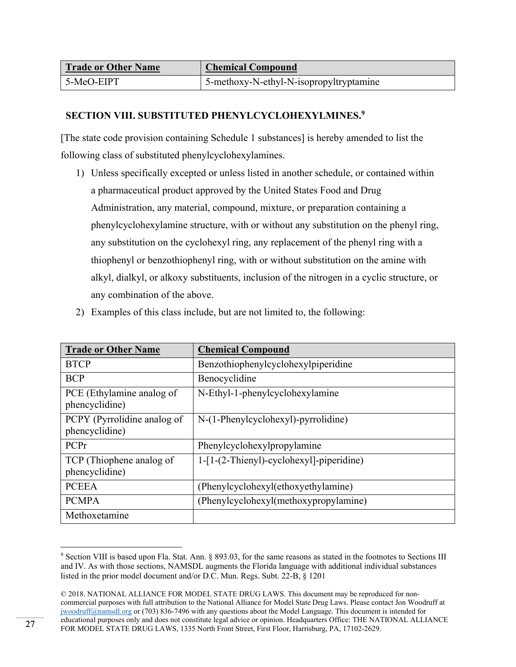| <b>Trade or Other Name</b> | <b>Chemical Compound</b>                |
|----------------------------|-----------------------------------------|
| 5-MeO-EIPT                 | 5-methoxy-N-ethyl-N-isopropyltryptamine |

# **SECTION VIII. SUBSTITUTED PHENYLCYCLOHEXYLMINES.9**

[The state code provision containing Schedule 1 substances] is hereby amended to list the following class of substituted phenylcyclohexylamines.

1) Unless specifically excepted or unless listed in another schedule, or contained within a pharmaceutical product approved by the United States Food and Drug Administration, any material, compound, mixture, or preparation containing a phenylcyclohexylamine structure, with or without any substitution on the phenyl ring, any substitution on the cyclohexyl ring, any replacement of the phenyl ring with a thiophenyl or benzothiophenyl ring, with or without substitution on the amine with alkyl, dialkyl, or alkoxy substituents, inclusion of the nitrogen in a cyclic structure, or any combination of the above.

|  |  |  | 2) Examples of this class include, but are not limited to, the following: |  |
|--|--|--|---------------------------------------------------------------------------|--|
|--|--|--|---------------------------------------------------------------------------|--|

| <b>Trade or Other Name</b>                    | <b>Chemical Compound</b>                 |
|-----------------------------------------------|------------------------------------------|
| <b>BTCP</b>                                   | Benzothiophenylcyclohexylpiperidine      |
| <b>BCP</b>                                    | Benocyclidine                            |
| PCE (Ethylamine analog of<br>phencyclidine)   | N-Ethyl-1-phenylcyclohexylamine          |
| PCPY (Pyrrolidine analog of<br>phencyclidine) | N-(1-Phenylcyclohexyl)-pyrrolidine)      |
| PCPr                                          | Phenylcyclohexylpropylamine              |
| TCP (Thiophene analog of<br>phencyclidine)    | 1-[1-(2-Thienyl)-cyclohexyl]-piperidine) |
| <b>PCEEA</b>                                  | (Phenylcyclohexyl(ethoxyethylamine)      |
| <b>PCMPA</b>                                  | (Phenylcyclohexyl(methoxypropylamine)    |
| Methoxetamine                                 |                                          |

<sup>&</sup>lt;sup>9</sup> Section VIII is based upon Fla. Stat. Ann. § 893.03, for the same reasons as stated in the footnotes to Sections III and IV. As with those sections, NAMSDL augments the Florida language with additional individual substances listed in the prior model document and/or D.C. Mun. Regs. Subt. 22-B, § 1201

<sup>© 2018.</sup> NATIONAL ALLIANCE FOR MODEL STATE DRUG LAWS. This document may be reproduced for noncommercial purposes with full attribution to the National Alliance for Model State Drug Laws. Please contact Jon Woodruff at jwoodruff@namsdl.org or (703) 836-7496 with any questions about the Model Language. This document is intended for educational purposes only and does not constitute legal advice or opinion. Headquarters Office: THE NATIONAL ALLIANCE FOR MODEL STATE DRUG LAWS, 1335 North Front Street, First Floor, Harrisburg, PA, 17102-2629.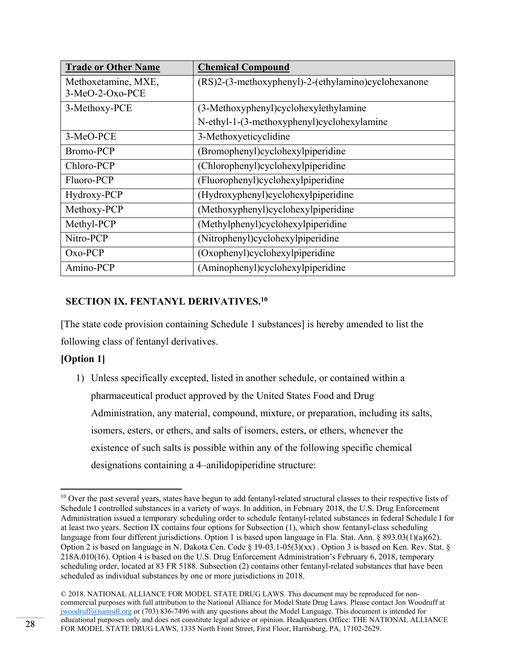| <b>Trade or Other Name</b> | <b>Chemical Compound</b>                            |
|----------------------------|-----------------------------------------------------|
| Methoxetamine, MXE,        | (RS)2-(3-methoxyphenyl)-2-(ethylamino)cyclohexanone |
| 3-MeO-2-Oxo-PCE            |                                                     |
| 3-Methoxy-PCE              | (3-Methoxyphenyl)cyclohexylethylamine               |
|                            | N-ethyl-1-(3-methoxyphenyl)cyclohexylamine          |
| 3-MeO-PCE                  | 3-Methoxyeticyclidine                               |
| <b>Bromo-PCP</b>           | (Bromophenyl)cyclohexylpiperidine                   |
| Chloro-PCP                 | (Chlorophenyl)cyclohexylpiperidine                  |
| Fluoro-PCP                 | (Fluorophenyl)cyclohexylpiperidine                  |
| Hydroxy-PCP                | (Hydroxyphenyl)cyclohexylpiperidine                 |
| Methoxy-PCP                | (Methoxyphenyl)cyclohexylpiperidine                 |
| Methyl-PCP                 | (Methylphenyl)cyclohexylpiperidine                  |
| Nitro-PCP                  | (Nitrophenyl)cyclohexylpiperidine                   |
| $Oxo-PCP$                  | (Oxophenyl)cyclohexylpiperidine                     |
| Amino-PCP                  | (Aminophenyl)cyclohexylpiperidine                   |

# **SECTION IX. FENTANYL DERIVATIVES.10**

[The state code provision containing Schedule 1 substances] is hereby amended to list the following class of fentanyl derivatives.

# **[Option 1]**

1) Unless specifically excepted, listed in another schedule, or contained within a pharmaceutical product approved by the United States Food and Drug Administration, any material, compound, mixture, or preparation, including its salts, isomers, esters, or ethers, and salts of isomers, esters, or ethers, whenever the existence of such salts is possible within any of the following specific chemical designations containing a 4–anilidopiperidine structure:

 <sup>10</sup> Over the past several years, states have begun to add fentanyl-related structural classes to their respective lists of Schedule I controlled substances in a variety of ways. In addition, in February 2018, the U.S. Drug Enforcement Administration issued a temporary scheduling order to schedule fentanyl-related substances in federal Schedule I for at least two years. Section IX contains four options for Subsection (1), which show fentanyl-class scheduling language from four different jurisdictions. Option 1 is based upon language in Fla. Stat. Ann. § 893.03(1)(a)(62). Option 2 is based on language in N. Dakota Cen. Code § 19-03.1-05(3)(xx). Option 3 is based on Ken. Rev. Stat. § 218A.010(16). Option 4 is based on the U.S. Drug Enforcement Administration's February 6, 2018, temporary scheduling order, located at 83 FR 5188. Subsection (2) contains other fentanyl-related substances that have been scheduled as individual substances by one or more jurisdictions in 2018.

<sup>© 2018.</sup> NATIONAL ALLIANCE FOR MODEL STATE DRUG LAWS. This document may be reproduced for noncommercial purposes with full attribution to the National Alliance for Model State Drug Laws. Please contact Jon Woodruff at jwoodruff@namsdl.org or (703) 836-7496 with any questions about the Model Language. This document is intended for educational purposes only and does not constitute legal advice or opinion. Headquarters Office: THE NATIONAL ALLIANCE FOR MODEL STATE DRUG LAWS, 1335 North Front Street, First Floor, Harrisburg, PA, 17102-2629.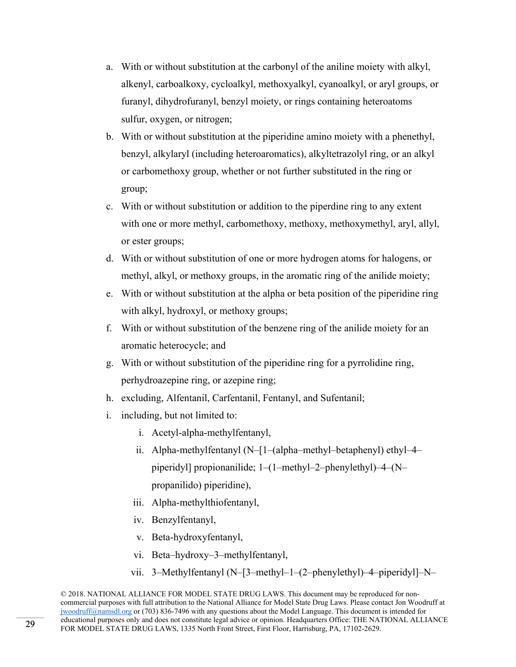- a. With or without substitution at the carbonyl of the aniline moiety with alkyl, alkenyl, carboalkoxy, cycloalkyl, methoxyalkyl, cyanoalkyl, or aryl groups, or furanyl, dihydrofuranyl, benzyl moiety, or rings containing heteroatoms sulfur, oxygen, or nitrogen;
- b. With or without substitution at the piperidine amino moiety with a phenethyl, benzyl, alkylaryl (including heteroaromatics), alkyltetrazolyl ring, or an alkyl or carbomethoxy group, whether or not further substituted in the ring or group;
- c. With or without substitution or addition to the piperdine ring to any extent with one or more methyl, carbomethoxy, methoxy, methoxymethyl, aryl, allyl, or ester groups;
- d. With or without substitution of one or more hydrogen atoms for halogens, or methyl, alkyl, or methoxy groups, in the aromatic ring of the anilide moiety;
- e. With or without substitution at the alpha or beta position of the piperidine ring with alkyl, hydroxyl, or methoxy groups;
- f. With or without substitution of the benzene ring of the anilide moiety for an aromatic heterocycle; and
- g. With or without substitution of the piperidine ring for a pyrrolidine ring, perhydroazepine ring, or azepine ring;
- h. excluding, Alfentanil, Carfentanil, Fentanyl, and Sufentanil;
- i. including, but not limited to:
	- i. Acetyl-alpha-methylfentanyl,
	- ii. Alpha-methylfentanyl (N–[1–(alpha–methyl–betaphenyl) ethyl–4– piperidyl] propionanilide; 1–(1–methyl–2–phenylethyl)–4–(N– propanilido) piperidine),
	- iii. Alpha-methylthiofentanyl,
	- iv. Benzylfentanyl,
	- v. Beta-hydroxyfentanyl,
	- vi. Beta–hydroxy–3–methylfentanyl,
	- vii. 3–Methylfentanyl (N–[3–methyl–1–(2–phenylethyl)–4–piperidyl]–N–

<sup>© 2018.</sup> NATIONAL ALLIANCE FOR MODEL STATE DRUG LAWS. This document may be reproduced for noncommercial purposes with full attribution to the National Alliance for Model State Drug Laws. Please contact Jon Woodruff at jwoodruff@namsdl.org or (703) 836-7496 with any questions about the Model Language. This document is intended for educational purposes only and does not constitute legal advice or opinion. Headquarters Office: THE NATIONAL ALLIANCE FOR MODEL STATE DRUG LAWS, 1335 North Front Street, First Floor, Harrisburg, PA, 17102-2629.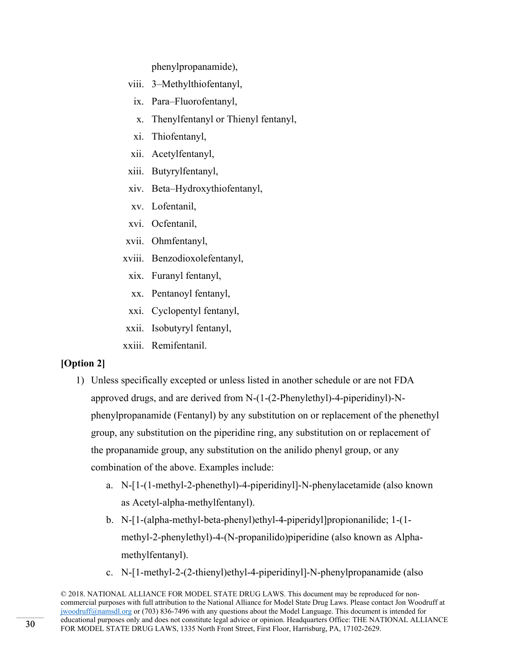phenylpropanamide),

- viii. 3–Methylthiofentanyl,
- ix. Para–Fluorofentanyl,
- x. Thenylfentanyl or Thienyl fentanyl,
- xi. Thiofentanyl,
- xii. Acetylfentanyl,
- xiii. Butyrylfentanyl,
- xiv. Beta–Hydroxythiofentanyl,
- xv. Lofentanil,
- xvi. Ocfentanil,
- xvii. Ohmfentanyl,
- xviii. Benzodioxolefentanyl,
- xix. Furanyl fentanyl,
- xx. Pentanoyl fentanyl,
- xxi. Cyclopentyl fentanyl,
- xxii. Isobutyryl fentanyl,
- xxiii. Remifentanil.

# **[Option 2]**

- 1) Unless specifically excepted or unless listed in another schedule or are not FDA approved drugs, and are derived from N-(1-(2-Phenylethyl)-4-piperidinyl)-Nphenylpropanamide (Fentanyl) by any substitution on or replacement of the phenethyl group, any substitution on the piperidine ring, any substitution on or replacement of the propanamide group, any substitution on the anilido phenyl group, or any combination of the above. Examples include:
	- a. N-[1-(1-methyl-2-phenethyl)-4-piperidinyl]-N-phenylacetamide (also known as Acetyl-alpha-methylfentanyl).
	- b. N-[1-(alpha-methyl-beta-phenyl)ethyl-4-piperidyl]propionanilide; 1-(1 methyl-2-phenylethyl)-4-(N-propanilido)piperidine (also known as Alphamethylfentanyl).
	- c. N-[1-methyl-2-(2-thienyl)ethyl-4-piperidinyl]-N-phenylpropanamide (also

<sup>© 2018.</sup> NATIONAL ALLIANCE FOR MODEL STATE DRUG LAWS. This document may be reproduced for noncommercial purposes with full attribution to the National Alliance for Model State Drug Laws. Please contact Jon Woodruff at jwoodruff@namsdl.org or (703) 836-7496 with any questions about the Model Language. This document is intended for educational purposes only and does not constitute legal advice or opinion. Headquarters Office: THE NATIONAL ALLIANCE FOR MODEL STATE DRUG LAWS, 1335 North Front Street, First Floor, Harrisburg, PA, 17102-2629.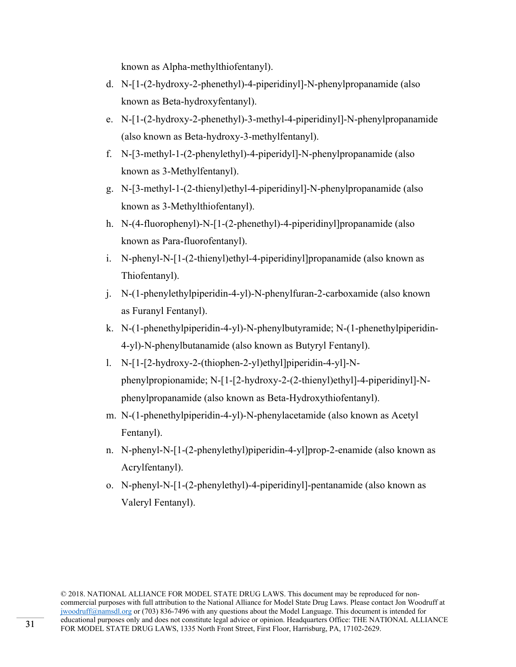known as Alpha-methylthiofentanyl).

- d. N-[1-(2-hydroxy-2-phenethyl)-4-piperidinyl]-N-phenylpropanamide (also known as Beta-hydroxyfentanyl).
- e. N-[1-(2-hydroxy-2-phenethyl)-3-methyl-4-piperidinyl]-N-phenylpropanamide (also known as Beta-hydroxy-3-methylfentanyl).
- f. N-[3-methyl-1-(2-phenylethyl)-4-piperidyl]-N-phenylpropanamide (also known as 3-Methylfentanyl).
- g. N-[3-methyl-1-(2-thienyl)ethyl-4-piperidinyl]-N-phenylpropanamide (also known as 3-Methylthiofentanyl).
- h. N-(4-fluorophenyl)-N-[1-(2-phenethyl)-4-piperidinyl]propanamide (also known as Para-fluorofentanyl).
- i. N-phenyl-N-[1-(2-thienyl)ethyl-4-piperidinyl]propanamide (also known as Thiofentanyl).
- j. N-(1-phenylethylpiperidin-4-yl)-N-phenylfuran-2-carboxamide (also known as Furanyl Fentanyl).
- k. N-(1-phenethylpiperidin-4-yl)-N-phenylbutyramide; N-(1-phenethylpiperidin-4-yl)-N-phenylbutanamide (also known as Butyryl Fentanyl).
- l. N-[1-[2-hydroxy-2-(thiophen-2-yl)ethyl]piperidin-4-yl]-Nphenylpropionamide; N-[1-[2-hydroxy-2-(2-thienyl)ethyl]-4-piperidinyl]-Nphenylpropanamide (also known as Beta-Hydroxythiofentanyl).
- m. N-(1-phenethylpiperidin-4-yl)-N-phenylacetamide (also known as Acetyl Fentanyl).
- n. N-phenyl-N-[1-(2-phenylethyl)piperidin-4-yl]prop-2-enamide (also known as Acrylfentanyl).
- o. N-phenyl-N-[1-(2-phenylethyl)-4-piperidinyl]-pentanamide (also known as Valeryl Fentanyl).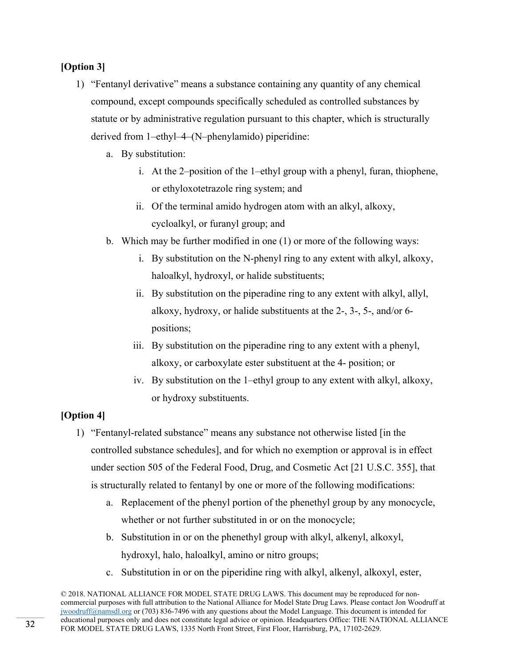# **[Option 3]**

- 1) "Fentanyl derivative" means a substance containing any quantity of any chemical compound, except compounds specifically scheduled as controlled substances by statute or by administrative regulation pursuant to this chapter, which is structurally derived from 1–ethyl–4–(N–phenylamido) piperidine:
	- a. By substitution:
		- i. At the 2–position of the 1–ethyl group with a phenyl, furan, thiophene, or ethyloxotetrazole ring system; and
		- ii. Of the terminal amido hydrogen atom with an alkyl, alkoxy, cycloalkyl, or furanyl group; and
	- b. Which may be further modified in one (1) or more of the following ways:
		- i. By substitution on the N-phenyl ring to any extent with alkyl, alkoxy, haloalkyl, hydroxyl, or halide substituents;
		- ii. By substitution on the piperadine ring to any extent with alkyl, allyl, alkoxy, hydroxy, or halide substituents at the 2-, 3-, 5-, and/or 6 positions;
		- iii. By substitution on the piperadine ring to any extent with a phenyl, alkoxy, or carboxylate ester substituent at the 4- position; or
		- iv. By substitution on the 1–ethyl group to any extent with alkyl, alkoxy, or hydroxy substituents.

# **[Option 4]**

- 1) "Fentanyl-related substance" means any substance not otherwise listed [in the controlled substance schedules], and for which no exemption or approval is in effect under section 505 of the Federal Food, Drug, and Cosmetic Act [21 U.S.C. 355], that is structurally related to fentanyl by one or more of the following modifications:
	- a. Replacement of the phenyl portion of the phenethyl group by any monocycle, whether or not further substituted in or on the monocycle;
	- b. Substitution in or on the phenethyl group with alkyl, alkenyl, alkoxyl, hydroxyl, halo, haloalkyl, amino or nitro groups;
	- c. Substitution in or on the piperidine ring with alkyl, alkenyl, alkoxyl, ester,

<sup>© 2018.</sup> NATIONAL ALLIANCE FOR MODEL STATE DRUG LAWS. This document may be reproduced for noncommercial purposes with full attribution to the National Alliance for Model State Drug Laws. Please contact Jon Woodruff at jwoodruff@namsdl.org or (703) 836-7496 with any questions about the Model Language. This document is intended for educational purposes only and does not constitute legal advice or opinion. Headquarters Office: THE NATIONAL ALLIANCE FOR MODEL STATE DRUG LAWS, 1335 North Front Street, First Floor, Harrisburg, PA, 17102-2629.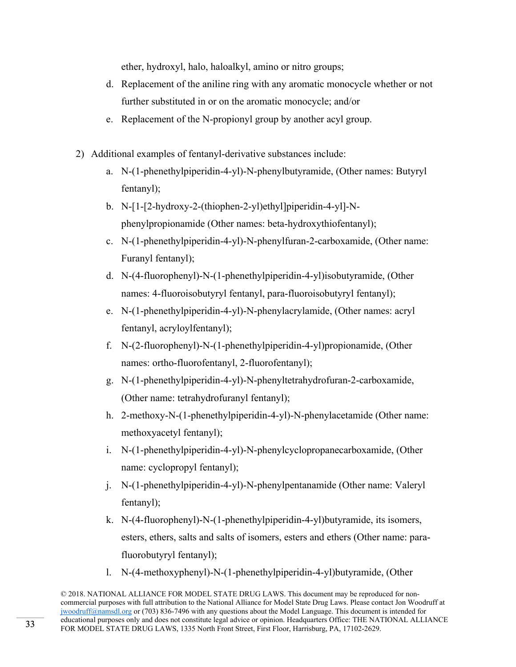ether, hydroxyl, halo, haloalkyl, amino or nitro groups;

- d. Replacement of the aniline ring with any aromatic monocycle whether or not further substituted in or on the aromatic monocycle; and/or
- e. Replacement of the N-propionyl group by another acyl group.
- 2) Additional examples of fentanyl-derivative substances include:
	- a. N-(1-phenethylpiperidin-4-yl)-N-phenylbutyramide, (Other names: Butyryl fentanyl);
	- b. N-[1-[2-hydroxy-2-(thiophen-2-yl)ethyl]piperidin-4-yl]-Nphenylpropionamide (Other names: beta-hydroxythiofentanyl);
	- c. N-(1-phenethylpiperidin-4-yl)-N-phenylfuran-2-carboxamide, (Other name: Furanyl fentanyl);
	- d. N-(4-fluorophenyl)-N-(1-phenethylpiperidin-4-yl)isobutyramide, (Other names: 4-fluoroisobutyryl fentanyl, para-fluoroisobutyryl fentanyl);
	- e. N-(1-phenethylpiperidin-4-yl)-N-phenylacrylamide, (Other names: acryl fentanyl, acryloylfentanyl);
	- f. N-(2-fluorophenyl)-N-(1-phenethylpiperidin-4-yl)propionamide, (Other names: ortho-fluorofentanyl, 2-fluorofentanyl);
	- g. N-(1-phenethylpiperidin-4-yl)-N-phenyltetrahydrofuran-2-carboxamide, (Other name: tetrahydrofuranyl fentanyl);
	- h. 2-methoxy-N-(1-phenethylpiperidin-4-yl)-N-phenylacetamide (Other name: methoxyacetyl fentanyl);
	- i. N-(1-phenethylpiperidin-4-yl)-N-phenylcyclopropanecarboxamide, (Other name: cyclopropyl fentanyl);
	- j. N-(1-phenethylpiperidin-4-yl)-N-phenylpentanamide (Other name: Valeryl fentanyl);
	- k. N-(4-fluorophenyl)-N-(1-phenethylpiperidin-4-yl)butyramide, its isomers, esters, ethers, salts and salts of isomers, esters and ethers (Other name: parafluorobutyryl fentanyl);
	- l. N-(4-methoxyphenyl)-N-(1-phenethylpiperidin-4-yl)butyramide, (Other

<sup>© 2018.</sup> NATIONAL ALLIANCE FOR MODEL STATE DRUG LAWS. This document may be reproduced for noncommercial purposes with full attribution to the National Alliance for Model State Drug Laws. Please contact Jon Woodruff at jwoodruff@namsdl.org or (703) 836-7496 with any questions about the Model Language. This document is intended for educational purposes only and does not constitute legal advice or opinion. Headquarters Office: THE NATIONAL ALLIANCE FOR MODEL STATE DRUG LAWS, 1335 North Front Street, First Floor, Harrisburg, PA, 17102-2629.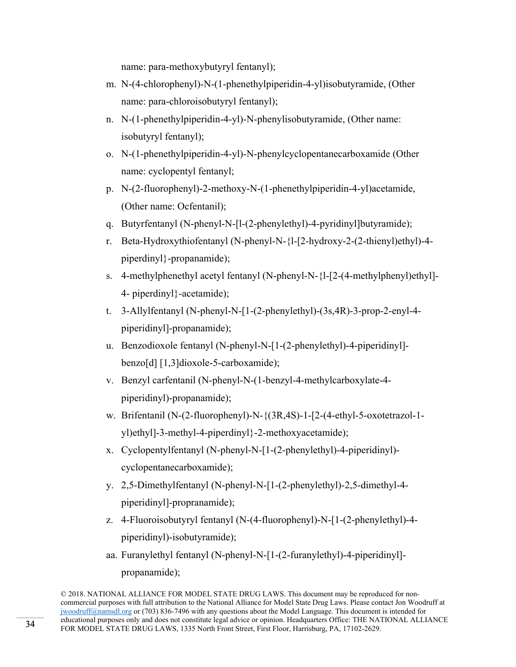name: para-methoxybutyryl fentanyl);

- m. N-(4-chlorophenyl)-N-(1-phenethylpiperidin-4-yl)isobutyramide, (Other name: para-chloroisobutyryl fentanyl);
- n. N-(1-phenethylpiperidin-4-yl)-N-phenylisobutyramide, (Other name: isobutyryl fentanyl);
- o. N-(1-phenethylpiperidin-4-yl)-N-phenylcyclopentanecarboxamide (Other name: cyclopentyl fentanyl;
- p. N-(2-fluorophenyl)-2-methoxy-N-(1-phenethylpiperidin-4-yl)acetamide, (Other name: Ocfentanil);
- q. Butyrfentanyl (N-phenyl-N-[l-(2-phenylethyl)-4-pyridinyl]butyramide);
- r. Beta-Hydroxythiofentanyl (N-phenyl-N-{l-[2-hydroxy-2-(2-thienyl)ethyl)-4 piperdinyl}-propanamide);
- s. 4-methylphenethyl acetyl fentanyl (N-phenyl-N-{l-[2-(4-methylphenyl)ethyl]- 4- piperdinyl}-acetamide);
- t. 3-Allylfentanyl (N-phenyl-N-[1-(2-phenylethyl)-(3s,4R)-3-prop-2-enyl-4 piperidinyl]-propanamide);
- u. Benzodioxole fentanyl (N-phenyl-N-[1-(2-phenylethyl)-4-piperidinyl] benzo[d] [1,3]dioxole-5-carboxamide);
- v. Benzyl carfentanil (N-phenyl-N-(1-benzyl-4-methylcarboxylate-4 piperidinyl)-propanamide);
- w. Brifentanil (N-(2-fluorophenyl)-N-{(3R,4S)-1-[2-(4-ethyl-5-oxotetrazol-1 yl)ethyl]-3-methyl-4-piperdinyl}-2-methoxyacetamide);
- x. Cyclopentylfentanyl (N-phenyl-N-[1-(2-phenylethyl)-4-piperidinyl) cyclopentanecarboxamide);
- y. 2,5-Dimethylfentanyl (N-phenyl-N-[1-(2-phenylethyl)-2,5-dimethyl-4 piperidinyl]-propranamide);
- z. 4-Fluoroisobutyryl fentanyl (N-(4-fluorophenyl)-N-[1-(2-phenylethyl)-4 piperidinyl)-isobutyramide);
- aa. Furanylethyl fentanyl (N-phenyl-N-[1-(2-furanylethyl)-4-piperidinyl] propanamide);

<sup>© 2018.</sup> NATIONAL ALLIANCE FOR MODEL STATE DRUG LAWS. This document may be reproduced for noncommercial purposes with full attribution to the National Alliance for Model State Drug Laws. Please contact Jon Woodruff at jwoodruff@namsdl.org or (703) 836-7496 with any questions about the Model Language. This document is intended for educational purposes only and does not constitute legal advice or opinion. Headquarters Office: THE NATIONAL ALLIANCE FOR MODEL STATE DRUG LAWS, 1335 North Front Street, First Floor, Harrisburg, PA, 17102-2629.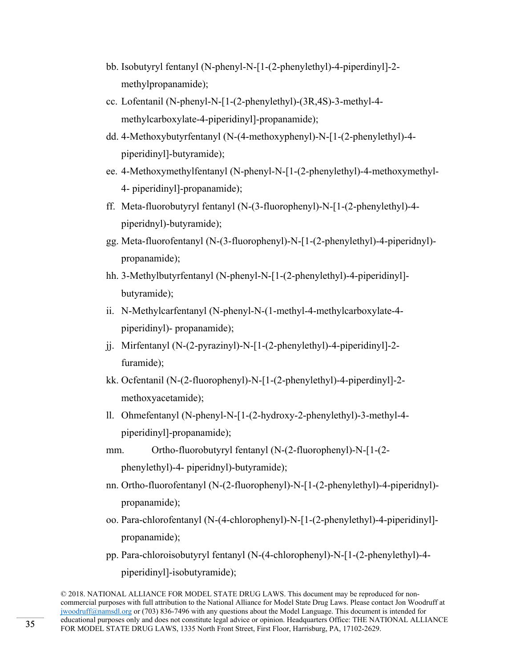- bb. Isobutyryl fentanyl (N-phenyl-N-[1-(2-phenylethyl)-4-piperdinyl]-2 methylpropanamide);
- cc. Lofentanil (N-phenyl-N-[1-(2-phenylethyl)-(3R,4S)-3-methyl-4 methylcarboxylate-4-piperidinyl]-propanamide);
- dd. 4-Methoxybutyrfentanyl (N-(4-methoxyphenyl)-N-[1-(2-phenylethyl)-4 piperidinyl]-butyramide);
- ee. 4-Methoxymethylfentanyl (N-phenyl-N-[1-(2-phenylethyl)-4-methoxymethyl-4- piperidinyl]-propanamide);
- ff. Meta-fluorobutyryl fentanyl (N-(3-fluorophenyl)-N-[1-(2-phenylethyl)-4 piperidnyl)-butyramide);
- gg. Meta-fluorofentanyl (N-(3-fluorophenyl)-N-[1-(2-phenylethyl)-4-piperidnyl) propanamide);
- hh. 3-Methylbutyrfentanyl (N-phenyl-N-[1-(2-phenylethyl)-4-piperidinyl] butyramide);
- ii. N-Methylcarfentanyl (N-phenyl-N-(1-methyl-4-methylcarboxylate-4 piperidinyl)- propanamide);
- jj. Mirfentanyl (N-(2-pyrazinyl)-N-[1-(2-phenylethyl)-4-piperidinyl]-2 furamide);
- kk. Ocfentanil (N-(2-fluorophenyl)-N-[1-(2-phenylethyl)-4-piperdinyl]-2 methoxyacetamide);
- ll. Ohmefentanyl (N-phenyl-N-[1-(2-hydroxy-2-phenylethyl)-3-methyl-4 piperidinyl]-propanamide);
- mm. Ortho-fluorobutyryl fentanyl (N-(2-fluorophenyl)-N-[1-(2 phenylethyl)-4- piperidnyl)-butyramide);
- nn. Ortho-fluorofentanyl (N-(2-fluorophenyl)-N-[1-(2-phenylethyl)-4-piperidnyl) propanamide);
- oo. Para-chlorofentanyl (N-(4-chlorophenyl)-N-[1-(2-phenylethyl)-4-piperidinyl] propanamide);
- pp. Para-chloroisobutyryl fentanyl (N-(4-chlorophenyl)-N-[1-(2-phenylethyl)-4 piperidinyl]-isobutyramide);

<sup>© 2018.</sup> NATIONAL ALLIANCE FOR MODEL STATE DRUG LAWS. This document may be reproduced for noncommercial purposes with full attribution to the National Alliance for Model State Drug Laws. Please contact Jon Woodruff at jwoodruff@namsdl.org or (703) 836-7496 with any questions about the Model Language. This document is intended for educational purposes only and does not constitute legal advice or opinion. Headquarters Office: THE NATIONAL ALLIANCE FOR MODEL STATE DRUG LAWS, 1335 North Front Street, First Floor, Harrisburg, PA, 17102-2629.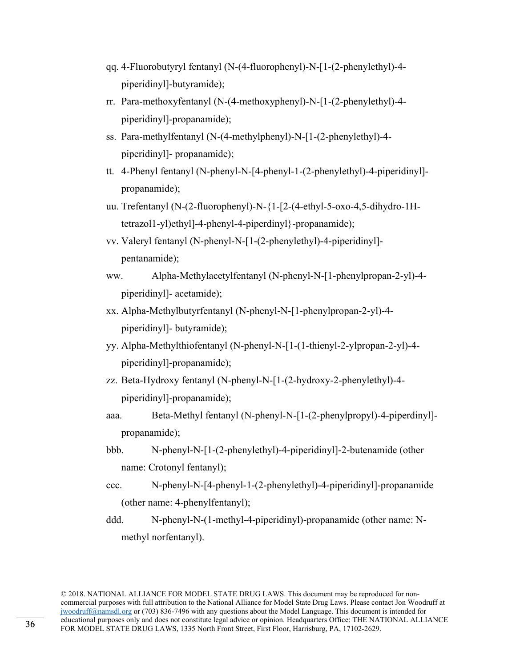- qq. 4-Fluorobutyryl fentanyl (N-(4-fluorophenyl)-N-[1-(2-phenylethyl)-4 piperidinyl]-butyramide);
- rr. Para-methoxyfentanyl (N-(4-methoxyphenyl)-N-[1-(2-phenylethyl)-4 piperidinyl]-propanamide);
- ss. Para-methylfentanyl (N-(4-methylphenyl)-N-[1-(2-phenylethyl)-4 piperidinyl]- propanamide);
- tt. 4-Phenyl fentanyl (N-phenyl-N-[4-phenyl-1-(2-phenylethyl)-4-piperidinyl] propanamide);
- uu. Trefentanyl (N-(2-fluorophenyl)-N-{1-[2-(4-ethyl-5-oxo-4,5-dihydro-1Htetrazol1-yl)ethyl]-4-phenyl-4-piperdinyl}-propanamide);
- vv. Valeryl fentanyl (N-phenyl-N-[1-(2-phenylethyl)-4-piperidinyl] pentanamide);
- ww. Alpha-Methylacetylfentanyl (N-phenyl-N-[1-phenylpropan-2-yl)-4 piperidinyl]- acetamide);
- xx. Alpha-Methylbutyrfentanyl (N-phenyl-N-[1-phenylpropan-2-yl)-4 piperidinyl]- butyramide);
- yy. Alpha-Methylthiofentanyl (N-phenyl-N-[1-(1-thienyl-2-ylpropan-2-yl)-4 piperidinyl]-propanamide);
- zz. Beta-Hydroxy fentanyl (N-phenyl-N-[1-(2-hydroxy-2-phenylethyl)-4 piperidinyl]-propanamide);
- aaa. Beta-Methyl fentanyl (N-phenyl-N-[1-(2-phenylpropyl)-4-piperdinyl] propanamide);
- bbb. N-phenyl-N-[1-(2-phenylethyl)-4-piperidinyl]-2-butenamide (other name: Crotonyl fentanyl);
- ccc. N-phenyl-N-[4-phenyl-1-(2-phenylethyl)-4-piperidinyl]-propanamide (other name: 4-phenylfentanyl);
- ddd. N-phenyl-N-(1-methyl-4-piperidinyl)-propanamide (other name: Nmethyl norfentanyl).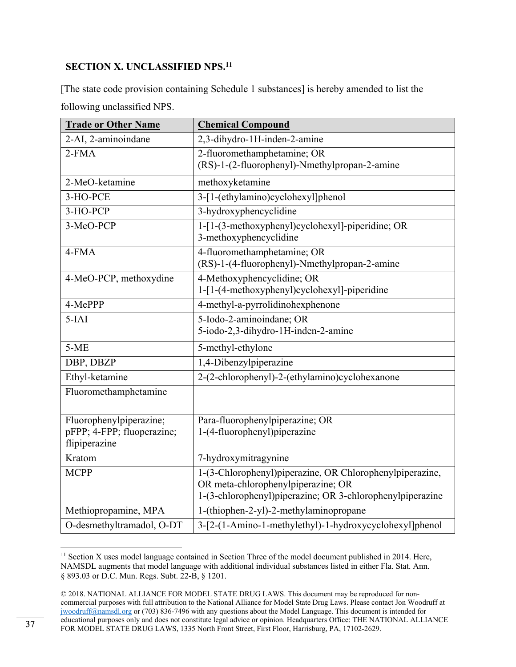# **SECTION X. UNCLASSIFIED NPS.11**

[The state code provision containing Schedule 1 substances] is hereby amended to list the following unclassified NPS.

| <b>Trade or Other Name</b>                                             | <b>Chemical Compound</b>                                                                                                                                    |
|------------------------------------------------------------------------|-------------------------------------------------------------------------------------------------------------------------------------------------------------|
| 2-AI, 2-aminoindane                                                    | 2,3-dihydro-1H-inden-2-amine                                                                                                                                |
| $2-FMA$                                                                | 2-fluoromethamphetamine; OR<br>(RS)-1-(2-fluorophenyl)-Nmethylpropan-2-amine                                                                                |
| 2-MeO-ketamine                                                         | methoxyketamine                                                                                                                                             |
| 3-HO-PCE                                                               | 3-[1-(ethylamino)cyclohexyl]phenol                                                                                                                          |
| 3-HO-PCP                                                               | 3-hydroxyphencyclidine                                                                                                                                      |
| 3-MeO-PCP                                                              | 1-[1-(3-methoxyphenyl)cyclohexyl]-piperidine; OR<br>3-methoxyphencyclidine                                                                                  |
| 4-FMA                                                                  | 4-fluoromethamphetamine; OR<br>(RS)-1-(4-fluorophenyl)-Nmethylpropan-2-amine                                                                                |
| 4-MeO-PCP, methoxydine                                                 | 4-Methoxyphencyclidine; OR<br>1-[1-(4-methoxyphenyl)cyclohexyl]-piperidine                                                                                  |
| 4-MePPP                                                                | 4-methyl-a-pyrrolidinohexphenone                                                                                                                            |
| $5-IAI$                                                                | 5-Iodo-2-aminoindane; OR<br>5-iodo-2,3-dihydro-1H-inden-2-amine                                                                                             |
| $5-ME$                                                                 | 5-methyl-ethylone                                                                                                                                           |
| DBP, DBZP                                                              | 1,4-Dibenzylpiperazine                                                                                                                                      |
| Ethyl-ketamine                                                         | 2-(2-chlorophenyl)-2-(ethylamino)cyclohexanone                                                                                                              |
| Fluoromethamphetamine                                                  |                                                                                                                                                             |
| Fluorophenylpiperazine;<br>pFPP; 4-FPP; fluoperazine;<br>flipiperazine | Para-fluorophenylpiperazine; OR<br>1-(4-fluorophenyl)piperazine                                                                                             |
| Kratom                                                                 | 7-hydroxymitragynine                                                                                                                                        |
| <b>MCPP</b>                                                            | 1-(3-Chlorophenyl)piperazine, OR Chlorophenylpiperazine,<br>OR meta-chlorophenylpiperazine; OR<br>1-(3-chlorophenyl)piperazine; OR 3-chlorophenylpiperazine |
| Methiopropamine, MPA                                                   | 1-(thiophen-2-yl)-2-methylaminopropane                                                                                                                      |
| O-desmethyltramadol, O-DT                                              | 3-[2-(1-Amino-1-methylethyl)-1-hydroxycyclohexyl]phenol                                                                                                     |

  $11$  Section X uses model language contained in Section Three of the model document published in 2014. Here, NAMSDL augments that model language with additional individual substances listed in either Fla. Stat. Ann. § 893.03 or D.C. Mun. Regs. Subt. 22-B, § 1201.

<sup>© 2018.</sup> NATIONAL ALLIANCE FOR MODEL STATE DRUG LAWS. This document may be reproduced for noncommercial purposes with full attribution to the National Alliance for Model State Drug Laws. Please contact Jon Woodruff at jwoodruff@namsdl.org or (703) 836-7496 with any questions about the Model Language. This document is intended for educational purposes only and does not constitute legal advice or opinion. Headquarters Office: THE NATIONAL ALLIANCE FOR MODEL STATE DRUG LAWS, 1335 North Front Street, First Floor, Harrisburg, PA, 17102-2629.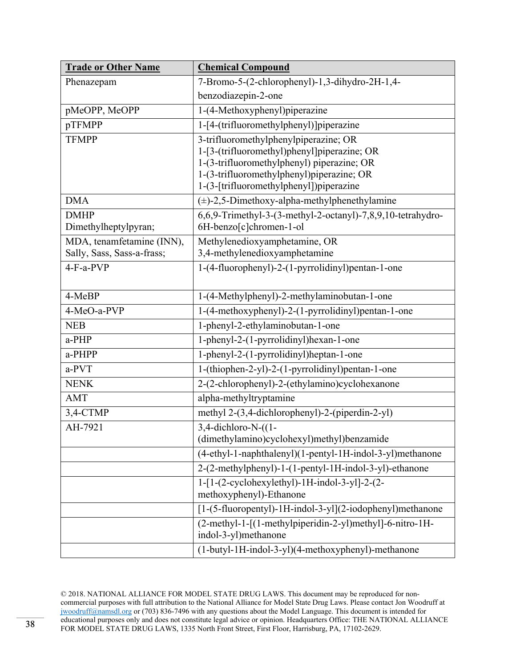| <b>Trade or Other Name</b> | <b>Chemical Compound</b>                                                                |
|----------------------------|-----------------------------------------------------------------------------------------|
| Phenazepam                 | 7-Bromo-5-(2-chlorophenyl)-1,3-dihydro-2H-1,4-                                          |
|                            | benzodiazepin-2-one                                                                     |
| pMeOPP, MeOPP              | 1-(4-Methoxyphenyl)piperazine                                                           |
| pTFMPP                     | 1-[4-(trifluoromethylphenyl)]piperazine                                                 |
| <b>TFMPP</b>               | 3-trifluoromethylphenylpiperazine; OR                                                   |
|                            | 1-[3-(trifluoromethyl)phenyl]piperazine; OR                                             |
|                            | 1-(3-trifluoromethylphenyl) piperazine; OR<br>1-(3-trifluoromethylphenyl)piperazine; OR |
|                            | 1-(3-[trifluoromethylphenyl])piperazine                                                 |
| <b>DMA</b>                 | $(\pm)$ -2,5-Dimethoxy-alpha-methylphenethylamine                                       |
| <b>DMHP</b>                | 6,6,9-Trimethyl-3-(3-methyl-2-octanyl)-7,8,9,10-tetrahydro-                             |
| Dimethylheptylpyran;       | 6H-benzo[c]chromen-1-ol                                                                 |
| MDA, tenamfetamine (INN),  | Methylenedioxyamphetamine, OR                                                           |
| Sally, Sass, Sass-a-frass; | 3,4-methylenedioxyamphetamine                                                           |
| 4-F-a-PVP                  | 1-(4-fluorophenyl)-2-(1-pyrrolidinyl)pentan-1-one                                       |
|                            |                                                                                         |
| 4-MeBP                     | 1-(4-Methylphenyl)-2-methylaminobutan-1-one                                             |
| 4-MeO-a-PVP                | 1-(4-methoxyphenyl)-2-(1-pyrrolidinyl)pentan-1-one                                      |
| <b>NEB</b>                 | 1-phenyl-2-ethylaminobutan-1-one                                                        |
| a-PHP                      | 1-phenyl-2-(1-pyrrolidinyl)hexan-1-one                                                  |
| a-PHPP                     | 1-phenyl-2-(1-pyrrolidinyl)heptan-1-one                                                 |
| a-PVT                      | 1-(thiophen-2-yl)-2-(1-pyrrolidinyl)pentan-1-one                                        |
| <b>NENK</b>                | 2-(2-chlorophenyl)-2-(ethylamino)cyclohexanone                                          |
| <b>AMT</b>                 | alpha-methyltryptamine                                                                  |
| 3,4-CTMP                   | methyl 2-(3,4-dichlorophenyl)-2-(piperdin-2-yl)                                         |
| AH-7921                    | 3,4-dichloro-N-((1-                                                                     |
|                            | (dimethylamino)cyclohexyl)methyl)benzamide                                              |
|                            | (4-ethyl-1-naphthalenyl)(1-pentyl-1H-indol-3-yl)methanone                               |
|                            | 2-(2-methylphenyl)-1-(1-pentyl-1H-indol-3-yl)-ethanone                                  |
|                            | 1-[1-(2-cyclohexylethyl)-1H-indol-3-yl]-2-(2-                                           |
|                            | methoxyphenyl)-Ethanone                                                                 |
|                            | [1-(5-fluoropentyl)-1H-indol-3-yl](2-iodophenyl)methanone                               |
|                            | (2-methyl-1-[(1-methylpiperidin-2-yl)methyl]-6-nitro-1H-<br>indol-3-yl)methanone        |
|                            |                                                                                         |
|                            | (1-butyl-1H-indol-3-yl)(4-methoxyphenyl)-methanone                                      |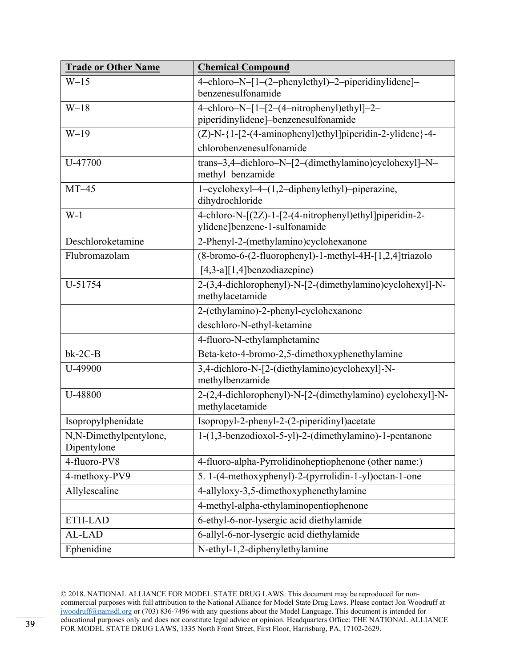| <b>Trade or Other Name</b>            | <b>Chemical Compound</b>                                                                 |
|---------------------------------------|------------------------------------------------------------------------------------------|
| $W-15$                                | 4-chloro-N-[1-(2-phenylethyl)-2-piperidinylidene]-<br>benzenesulfonamide                 |
| $W-18$                                | 4-chloro-N-[1-[2-(4-nitrophenyl)ethyl]-2-<br>piperidinylidene]-benzenesulfonamide        |
| $W-19$                                | $\overline{(Z)-N-}$ {1-[2-(4-aminophenyl)ethyl]piperidin-2-ylidene}-4-                   |
|                                       | chlorobenzenesulfonamide                                                                 |
| U-47700                               | trans-3,4-dichloro-N-[2-(dimethylamino)cyclohexyl]-N-<br>methyl-benzamide                |
| $MT-45$                               | 1-cyclohexyl-4-(1,2-diphenylethyl)-piperazine,<br>dihydrochloride                        |
| $W-1$                                 | 4-chloro-N-[(2Z)-1-[2-(4-nitrophenyl)ethyl]piperidin-2-<br>ylidene]benzene-1-sulfonamide |
| Deschloroketamine                     | 2-Phenyl-2-(methylamino)cyclohexanone                                                    |
| Flubromazolam                         | (8-bromo-6-(2-fluorophenyl)-1-methyl-4H-[1,2,4]triazolo                                  |
|                                       | $[4,3-a][1,4]$ benzodiazepine)                                                           |
| U-51754                               | 2-(3,4-dichlorophenyl)-N-[2-(dimethylamino)cyclohexyl]-N-<br>methylacetamide             |
|                                       | 2-(ethylamino)-2-phenyl-cyclohexanone                                                    |
|                                       | deschloro-N-ethyl-ketamine                                                               |
|                                       | 4-fluoro-N-ethylamphetamine                                                              |
| $bk-2C-B$                             | Beta-keto-4-bromo-2,5-dimethoxyphenethylamine                                            |
| U-49900                               | 3,4-dichloro-N-[2-(diethylamino)cyclohexyl]-N-<br>methylbenzamide                        |
| U-48800                               | 2-(2,4-dichlorophenyl)-N-[2-(dimethylamino) cyclohexyl]-N-<br>methylacetamide            |
| Isopropylphenidate                    | Isopropyl-2-phenyl-2-(2-piperidinyl)acetate                                              |
| N,N-Dimethylpentylone,<br>Dipentylone | 1-(1,3-benzodioxol-5-yl)-2-(dimethylamino)-1-pentanone                                   |
| 4-fluoro-PV8                          | 4-fluoro-alpha-Pyrrolidinoheptiophenone (other name:)                                    |
| 4-methoxy-PV9                         | 5. 1-(4-methoxyphenyl)-2-(pyrrolidin-1-yl)octan-1-one                                    |
| Allylescaline                         | 4-allyloxy-3,5-dimethoxyphenethylamine                                                   |
|                                       | 4-methyl-alpha-ethylaminopentiophenone                                                   |
| ETH-LAD                               | 6-ethyl-6-nor-lysergic acid diethylamide                                                 |
| AL-LAD                                | 6-allyl-6-nor-lysergic acid diethylamide                                                 |
| Ephenidine                            | N-ethyl-1,2-diphenylethylamine                                                           |

<sup>© 2018.</sup> NATIONAL ALLIANCE FOR MODEL STATE DRUG LAWS. This document may be reproduced for noncommercial purposes with full attribution to the National Alliance for Model State Drug Laws. Please contact Jon Woodruff at jwoodruff@namsdl.org or (703) 836-7496 with any questions about the Model Language. This document is intended for educational purposes only and does not constitute legal advice or opinion. Headquarters Office: THE NATIONAL ALLIANCE FOR MODEL STATE DRUG LAWS, 1335 North Front Street, First Floor, Harrisburg, PA, 17102-2629.